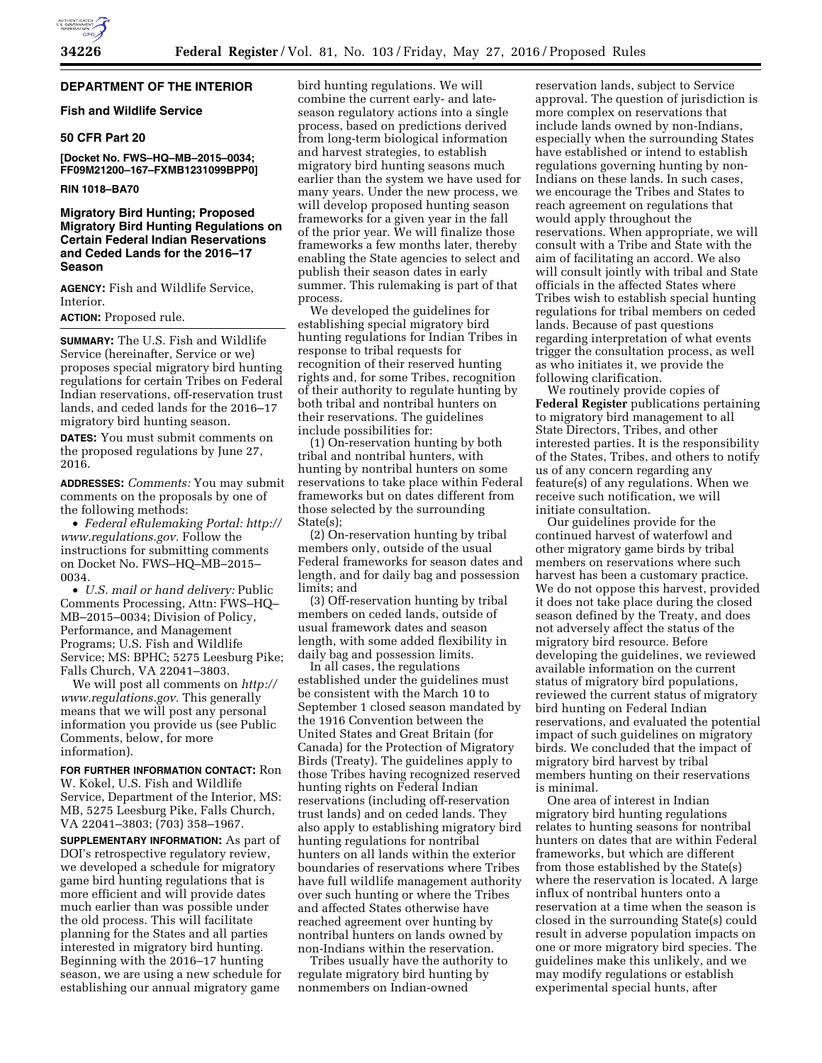# **DEPARTMENT OF THE INTERIOR**

## **Fish and Wildlife Service**

# **50 CFR Part 20**

**[Docket No. FWS–HQ–MB–2015–0034; FF09M21200–167–FXMB1231099BPP0]** 

## **RIN 1018–BA70**

# **Migratory Bird Hunting; Proposed Migratory Bird Hunting Regulations on Certain Federal Indian Reservations and Ceded Lands for the 2016–17 Season**

**AGENCY:** Fish and Wildlife Service, Interior.

#### **ACTION:** Proposed rule.

**SUMMARY:** The U.S. Fish and Wildlife Service (hereinafter, Service or we) proposes special migratory bird hunting regulations for certain Tribes on Federal Indian reservations, off-reservation trust lands, and ceded lands for the 2016–17 migratory bird hunting season.

**DATES:** You must submit comments on the proposed regulations by June 27, 2016.

**ADDRESSES:** *Comments:* You may submit comments on the proposals by one of the following methods:

• *Federal eRulemaking Portal: [http://](http://www.regulations.gov)  [www.regulations.gov.](http://www.regulations.gov)* Follow the instructions for submitting comments on Docket No. FWS–HQ–MB–2015– 0034.

• *U.S. mail or hand delivery:* Public Comments Processing, Attn: FWS–HQ– MB–2015–0034; Division of Policy, Performance, and Management Programs; U.S. Fish and Wildlife Service; MS: BPHC; 5275 Leesburg Pike; Falls Church, VA 22041–3803.

We will post all comments on *[http://](http://www.regulations.gov) [www.regulations.gov.](http://www.regulations.gov)* This generally means that we will post any personal information you provide us (see Public Comments, below, for more information).

#### **FOR FURTHER INFORMATION CONTACT:** Ron

W. Kokel, U.S. Fish and Wildlife Service, Department of the Interior, MS: MB, 5275 Leesburg Pike, Falls Church, VA 22041–3803; (703) 358–1967.

**SUPPLEMENTARY INFORMATION:** As part of DOI's retrospective regulatory review, we developed a schedule for migratory game bird hunting regulations that is more efficient and will provide dates much earlier than was possible under the old process. This will facilitate planning for the States and all parties interested in migratory bird hunting. Beginning with the 2016–17 hunting season, we are using a new schedule for establishing our annual migratory game

bird hunting regulations. We will combine the current early- and lateseason regulatory actions into a single process, based on predictions derived from long-term biological information and harvest strategies, to establish migratory bird hunting seasons much earlier than the system we have used for many years. Under the new process, we will develop proposed hunting season frameworks for a given year in the fall of the prior year. We will finalize those frameworks a few months later, thereby enabling the State agencies to select and publish their season dates in early summer. This rulemaking is part of that process.

We developed the guidelines for establishing special migratory bird hunting regulations for Indian Tribes in response to tribal requests for recognition of their reserved hunting rights and, for some Tribes, recognition of their authority to regulate hunting by both tribal and nontribal hunters on their reservations. The guidelines include possibilities for:

(1) On-reservation hunting by both tribal and nontribal hunters, with hunting by nontribal hunters on some reservations to take place within Federal frameworks but on dates different from those selected by the surrounding State(s);

(2) On-reservation hunting by tribal members only, outside of the usual Federal frameworks for season dates and length, and for daily bag and possession limits; and

(3) Off-reservation hunting by tribal members on ceded lands, outside of usual framework dates and season length, with some added flexibility in daily bag and possession limits.

In all cases, the regulations established under the guidelines must be consistent with the March 10 to September 1 closed season mandated by the 1916 Convention between the United States and Great Britain (for Canada) for the Protection of Migratory Birds (Treaty). The guidelines apply to those Tribes having recognized reserved hunting rights on Federal Indian reservations (including off-reservation trust lands) and on ceded lands. They also apply to establishing migratory bird hunting regulations for nontribal hunters on all lands within the exterior boundaries of reservations where Tribes have full wildlife management authority over such hunting or where the Tribes and affected States otherwise have reached agreement over hunting by nontribal hunters on lands owned by non-Indians within the reservation.

Tribes usually have the authority to regulate migratory bird hunting by nonmembers on Indian-owned

reservation lands, subject to Service approval. The question of jurisdiction is more complex on reservations that include lands owned by non-Indians, especially when the surrounding States have established or intend to establish regulations governing hunting by non-Indians on these lands. In such cases, we encourage the Tribes and States to reach agreement on regulations that would apply throughout the reservations. When appropriate, we will consult with a Tribe and State with the aim of facilitating an accord. We also will consult jointly with tribal and State officials in the affected States where Tribes wish to establish special hunting regulations for tribal members on ceded lands. Because of past questions regarding interpretation of what events trigger the consultation process, as well as who initiates it, we provide the following clarification.

We routinely provide copies of **Federal Register** publications pertaining to migratory bird management to all State Directors, Tribes, and other interested parties. It is the responsibility of the States, Tribes, and others to notify us of any concern regarding any feature(s) of any regulations. When we receive such notification, we will initiate consultation.

Our guidelines provide for the continued harvest of waterfowl and other migratory game birds by tribal members on reservations where such harvest has been a customary practice. We do not oppose this harvest, provided it does not take place during the closed season defined by the Treaty, and does not adversely affect the status of the migratory bird resource. Before developing the guidelines, we reviewed available information on the current status of migratory bird populations, reviewed the current status of migratory bird hunting on Federal Indian reservations, and evaluated the potential impact of such guidelines on migratory birds. We concluded that the impact of migratory bird harvest by tribal members hunting on their reservations is minimal.

One area of interest in Indian migratory bird hunting regulations relates to hunting seasons for nontribal hunters on dates that are within Federal frameworks, but which are different from those established by the State(s) where the reservation is located. A large influx of nontribal hunters onto a reservation at a time when the season is closed in the surrounding State(s) could result in adverse population impacts on one or more migratory bird species. The guidelines make this unlikely, and we may modify regulations or establish experimental special hunts, after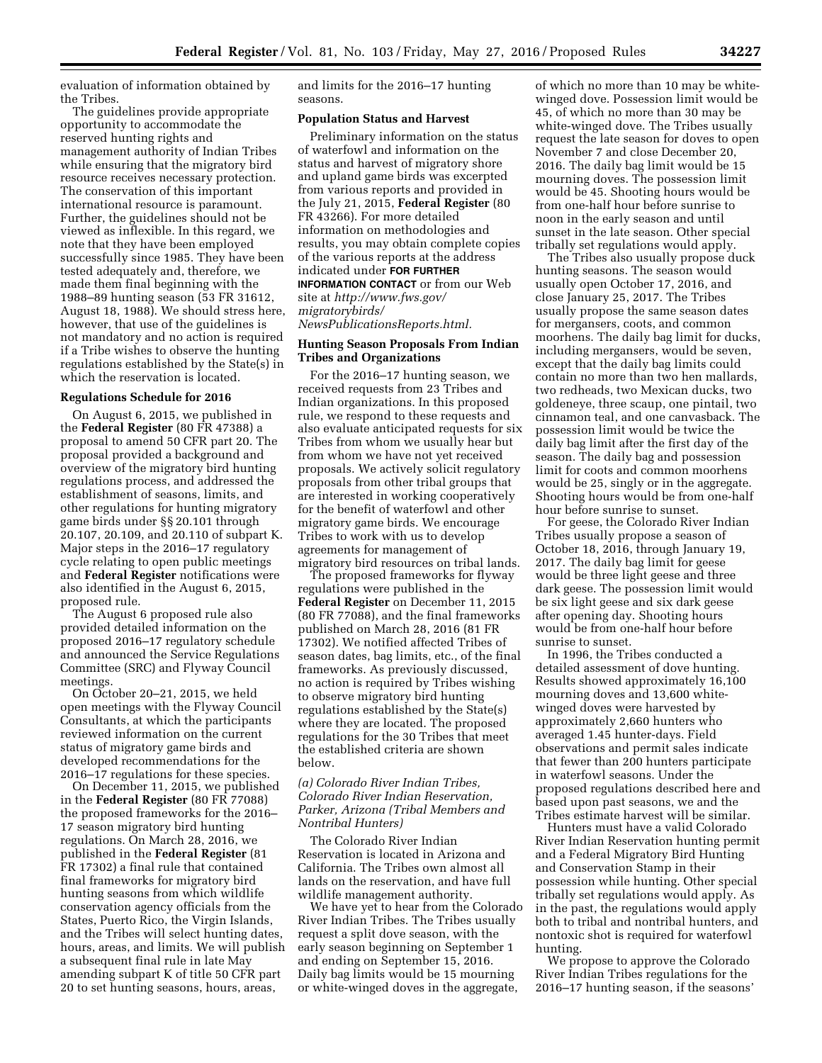evaluation of information obtained by the Tribes.

The guidelines provide appropriate opportunity to accommodate the reserved hunting rights and management authority of Indian Tribes while ensuring that the migratory bird resource receives necessary protection. The conservation of this important international resource is paramount. Further, the guidelines should not be viewed as inflexible. In this regard, we note that they have been employed successfully since 1985. They have been tested adequately and, therefore, we made them final beginning with the 1988–89 hunting season (53 FR 31612, August 18, 1988). We should stress here, however, that use of the guidelines is not mandatory and no action is required if a Tribe wishes to observe the hunting regulations established by the State(s) in which the reservation is located.

#### **Regulations Schedule for 2016**

On August 6, 2015, we published in the **Federal Register** (80 FR 47388) a proposal to amend 50 CFR part 20. The proposal provided a background and overview of the migratory bird hunting regulations process, and addressed the establishment of seasons, limits, and other regulations for hunting migratory game birds under §§ 20.101 through 20.107, 20.109, and 20.110 of subpart K. Major steps in the 2016–17 regulatory cycle relating to open public meetings and **Federal Register** notifications were also identified in the August 6, 2015, proposed rule.

The August 6 proposed rule also provided detailed information on the proposed 2016–17 regulatory schedule and announced the Service Regulations Committee (SRC) and Flyway Council meetings.

On October 20–21, 2015, we held open meetings with the Flyway Council Consultants, at which the participants reviewed information on the current status of migratory game birds and developed recommendations for the 2016–17 regulations for these species.

On December 11, 2015, we published in the **Federal Register** (80 FR 77088) the proposed frameworks for the 2016– 17 season migratory bird hunting regulations. On March 28, 2016, we published in the **Federal Register** (81 FR 17302) a final rule that contained final frameworks for migratory bird hunting seasons from which wildlife conservation agency officials from the States, Puerto Rico, the Virgin Islands, and the Tribes will select hunting dates, hours, areas, and limits. We will publish a subsequent final rule in late May amending subpart K of title 50 CFR part 20 to set hunting seasons, hours, areas,

and limits for the 2016–17 hunting seasons.

#### **Population Status and Harvest**

Preliminary information on the status of waterfowl and information on the status and harvest of migratory shore and upland game birds was excerpted from various reports and provided in the July 21, 2015, **Federal Register** (80 FR 43266). For more detailed information on methodologies and results, you may obtain complete copies of the various reports at the address indicated under **FOR FURTHER INFORMATION CONTACT** or from our Web site at *[http://www.fws.gov/](http://www.fws.gov/migratorybirds/NewsPublicationsReports.html) [migratorybirds/](http://www.fws.gov/migratorybirds/NewsPublicationsReports.html) [NewsPublicationsReports.html.](http://www.fws.gov/migratorybirds/NewsPublicationsReports.html)* 

# **Hunting Season Proposals From Indian Tribes and Organizations**

For the 2016–17 hunting season, we received requests from 23 Tribes and Indian organizations. In this proposed rule, we respond to these requests and also evaluate anticipated requests for six Tribes from whom we usually hear but from whom we have not yet received proposals. We actively solicit regulatory proposals from other tribal groups that are interested in working cooperatively for the benefit of waterfowl and other migratory game birds. We encourage Tribes to work with us to develop agreements for management of migratory bird resources on tribal lands.

The proposed frameworks for flyway regulations were published in the **Federal Register** on December 11, 2015 (80 FR 77088), and the final frameworks published on March 28, 2016 (81 FR 17302). We notified affected Tribes of season dates, bag limits, etc., of the final frameworks. As previously discussed, no action is required by Tribes wishing to observe migratory bird hunting regulations established by the State(s) where they are located. The proposed regulations for the 30 Tribes that meet the established criteria are shown below.

# *(a) Colorado River Indian Tribes, Colorado River Indian Reservation, Parker, Arizona (Tribal Members and Nontribal Hunters)*

The Colorado River Indian Reservation is located in Arizona and California. The Tribes own almost all lands on the reservation, and have full wildlife management authority.

We have yet to hear from the Colorado River Indian Tribes. The Tribes usually request a split dove season, with the early season beginning on September 1 and ending on September 15, 2016. Daily bag limits would be 15 mourning or white-winged doves in the aggregate,

of which no more than 10 may be whitewinged dove. Possession limit would be 45, of which no more than 30 may be white-winged dove. The Tribes usually request the late season for doves to open November 7 and close December 20, 2016. The daily bag limit would be 15 mourning doves. The possession limit would be 45. Shooting hours would be from one-half hour before sunrise to noon in the early season and until sunset in the late season. Other special tribally set regulations would apply.

The Tribes also usually propose duck hunting seasons. The season would usually open October 17, 2016, and close January 25, 2017. The Tribes usually propose the same season dates for mergansers, coots, and common moorhens. The daily bag limit for ducks, including mergansers, would be seven, except that the daily bag limits could contain no more than two hen mallards, two redheads, two Mexican ducks, two goldeneye, three scaup, one pintail, two cinnamon teal, and one canvasback. The possession limit would be twice the daily bag limit after the first day of the season. The daily bag and possession limit for coots and common moorhens would be 25, singly or in the aggregate. Shooting hours would be from one-half hour before sunrise to sunset.

For geese, the Colorado River Indian Tribes usually propose a season of October 18, 2016, through January 19, 2017. The daily bag limit for geese would be three light geese and three dark geese. The possession limit would be six light geese and six dark geese after opening day. Shooting hours would be from one-half hour before sunrise to sunset.

In 1996, the Tribes conducted a detailed assessment of dove hunting. Results showed approximately 16,100 mourning doves and 13,600 whitewinged doves were harvested by approximately 2,660 hunters who averaged 1.45 hunter-days. Field observations and permit sales indicate that fewer than 200 hunters participate in waterfowl seasons. Under the proposed regulations described here and based upon past seasons, we and the Tribes estimate harvest will be similar.

Hunters must have a valid Colorado River Indian Reservation hunting permit and a Federal Migratory Bird Hunting and Conservation Stamp in their possession while hunting. Other special tribally set regulations would apply. As in the past, the regulations would apply both to tribal and nontribal hunters, and nontoxic shot is required for waterfowl hunting.

We propose to approve the Colorado River Indian Tribes regulations for the 2016–17 hunting season, if the seasons'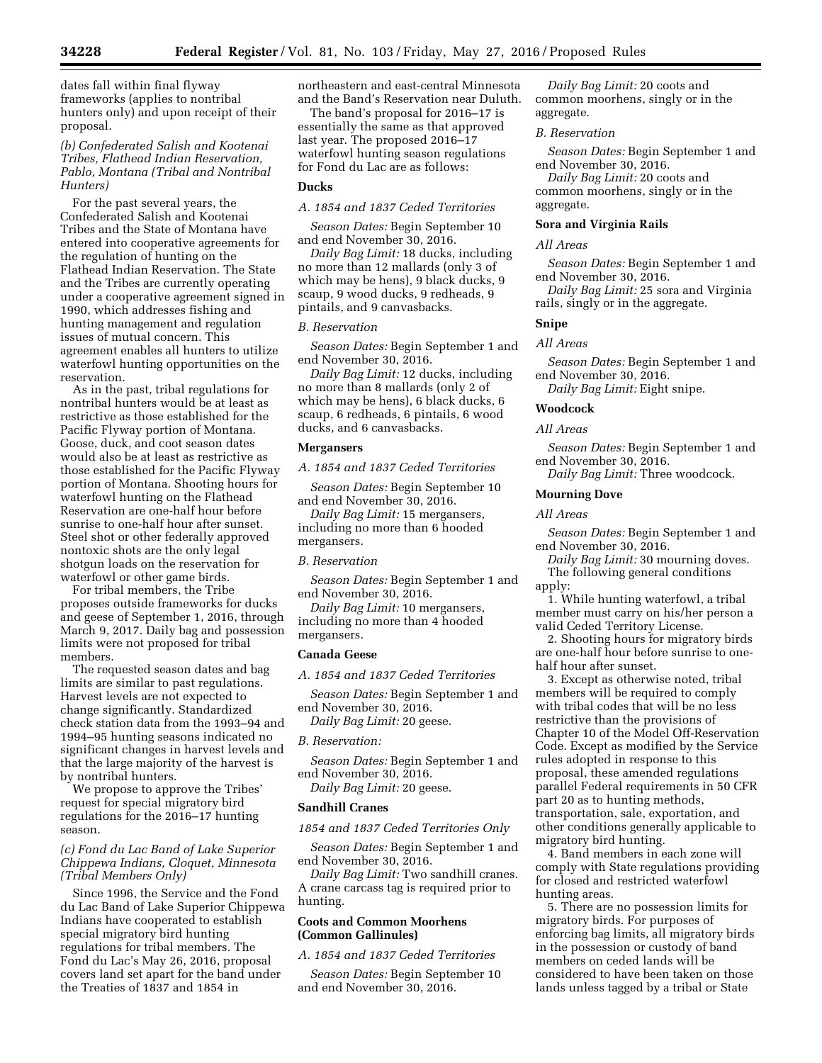dates fall within final flyway frameworks (applies to nontribal hunters only) and upon receipt of their proposal.

*(b) Confederated Salish and Kootenai Tribes, Flathead Indian Reservation, Pablo, Montana (Tribal and Nontribal Hunters)* 

For the past several years, the Confederated Salish and Kootenai Tribes and the State of Montana have entered into cooperative agreements for the regulation of hunting on the Flathead Indian Reservation. The State and the Tribes are currently operating under a cooperative agreement signed in 1990, which addresses fishing and hunting management and regulation issues of mutual concern. This agreement enables all hunters to utilize waterfowl hunting opportunities on the reservation.

As in the past, tribal regulations for nontribal hunters would be at least as restrictive as those established for the Pacific Flyway portion of Montana. Goose, duck, and coot season dates would also be at least as restrictive as those established for the Pacific Flyway portion of Montana. Shooting hours for waterfowl hunting on the Flathead Reservation are one-half hour before sunrise to one-half hour after sunset. Steel shot or other federally approved nontoxic shots are the only legal shotgun loads on the reservation for waterfowl or other game birds.

For tribal members, the Tribe proposes outside frameworks for ducks and geese of September 1, 2016, through March 9, 2017. Daily bag and possession limits were not proposed for tribal members.

The requested season dates and bag limits are similar to past regulations. Harvest levels are not expected to change significantly. Standardized check station data from the 1993–94 and 1994–95 hunting seasons indicated no significant changes in harvest levels and that the large majority of the harvest is by nontribal hunters.

We propose to approve the Tribes' request for special migratory bird regulations for the 2016–17 hunting season.

## *(c) Fond du Lac Band of Lake Superior Chippewa Indians, Cloquet, Minnesota (Tribal Members Only)*

Since 1996, the Service and the Fond du Lac Band of Lake Superior Chippewa Indians have cooperated to establish special migratory bird hunting regulations for tribal members. The Fond du Lac's May 26, 2016, proposal covers land set apart for the band under the Treaties of 1837 and 1854 in

northeastern and east-central Minnesota and the Band's Reservation near Duluth.

The band's proposal for 2016–17 is essentially the same as that approved last year. The proposed 2016–17 waterfowl hunting season regulations for Fond du Lac are as follows:

# **Ducks**

*A. 1854 and 1837 Ceded Territories* 

*Season Dates:* Begin September 10 and end November 30, 2016.

*Daily Bag Limit:* 18 ducks, including no more than 12 mallards (only 3 of which may be hens), 9 black ducks, 9 scaup, 9 wood ducks, 9 redheads, 9 pintails, and 9 canvasbacks.

#### *B. Reservation*

*Season Dates:* Begin September 1 and end November 30, 2016.

*Daily Bag Limit:* 12 ducks, including no more than 8 mallards (only 2 of which may be hens), 6 black ducks, 6 scaup, 6 redheads, 6 pintails, 6 wood ducks, and 6 canvasbacks.

#### **Mergansers**

*A. 1854 and 1837 Ceded Territories* 

*Season Dates:* Begin September 10 and end November 30, 2016.

*Daily Bag Limit:* 15 mergansers, including no more than 6 hooded mergansers.

## *B. Reservation*

*Season Dates:* Begin September 1 and end November 30, 2016.

*Daily Bag Limit:* 10 mergansers, including no more than 4 hooded mergansers.

#### **Canada Geese**

*A. 1854 and 1837 Ceded Territories* 

*Season Dates:* Begin September 1 and end November 30, 2016.

*Daily Bag Limit:* 20 geese.

#### *B. Reservation:*

*Season Dates:* Begin September 1 and end November 30, 2016.

*Daily Bag Limit:* 20 geese.

### **Sandhill Cranes**

*1854 and 1837 Ceded Territories Only* 

*Season Dates:* Begin September 1 and end November 30, 2016.

*Daily Bag Limit:* Two sandhill cranes. A crane carcass tag is required prior to hunting.

# **Coots and Common Moorhens (Common Gallinules)**

*A. 1854 and 1837 Ceded Territories* 

*Season Dates:* Begin September 10 and end November 30, 2016.

*Daily Bag Limit:* 20 coots and common moorhens, singly or in the aggregate.

## *B. Reservation*

*Season Dates:* Begin September 1 and end November 30, 2016.

*Daily Bag Limit:* 20 coots and common moorhens, singly or in the aggregate.

#### **Sora and Virginia Rails**

*All Areas* 

*Season Dates:* Begin September 1 and end November 30, 2016.

*Daily Bag Limit:* 25 sora and Virginia rails, singly or in the aggregate.

### **Snipe**

#### *All Areas*

*Season Dates:* Begin September 1 and end November 30, 2016.

*Daily Bag Limit:* Eight snipe.

# **Woodcock**

# *All Areas*

*Season Dates:* Begin September 1 and end November 30, 2016. *Daily Bag Limit:* Three woodcock.

#### **Mourning Dove**

#### *All Areas*

*Season Dates:* Begin September 1 and end November 30, 2016.

*Daily Bag Limit:* 30 mourning doves. The following general conditions apply:

1. While hunting waterfowl, a tribal member must carry on his/her person a valid Ceded Territory License.

2. Shooting hours for migratory birds are one-half hour before sunrise to onehalf hour after sunset.

3. Except as otherwise noted, tribal members will be required to comply with tribal codes that will be no less restrictive than the provisions of Chapter 10 of the Model Off-Reservation Code. Except as modified by the Service rules adopted in response to this proposal, these amended regulations parallel Federal requirements in 50 CFR part 20 as to hunting methods, transportation, sale, exportation, and other conditions generally applicable to migratory bird hunting.

4. Band members in each zone will comply with State regulations providing for closed and restricted waterfowl hunting areas.

5. There are no possession limits for migratory birds. For purposes of enforcing bag limits, all migratory birds in the possession or custody of band members on ceded lands will be considered to have been taken on those lands unless tagged by a tribal or State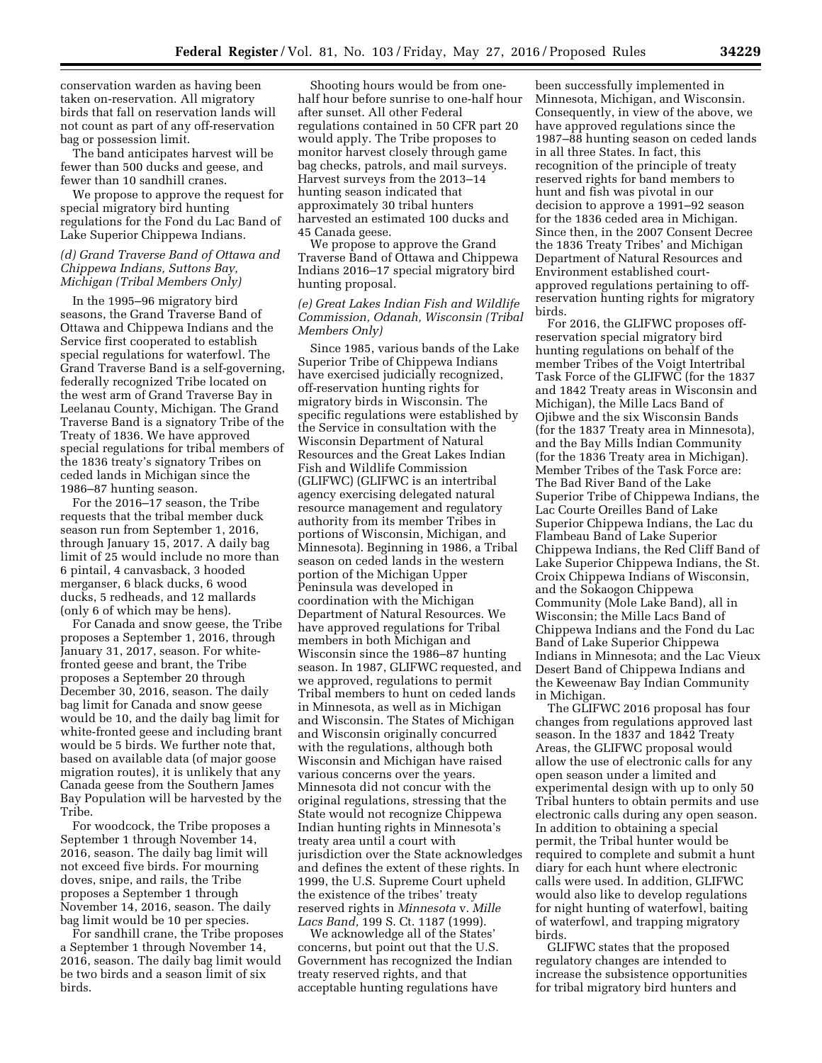conservation warden as having been taken on-reservation. All migratory birds that fall on reservation lands will not count as part of any off-reservation bag or possession limit.

The band anticipates harvest will be fewer than 500 ducks and geese, and fewer than 10 sandhill cranes.

We propose to approve the request for special migratory bird hunting regulations for the Fond du Lac Band of Lake Superior Chippewa Indians.

# *(d) Grand Traverse Band of Ottawa and Chippewa Indians, Suttons Bay, Michigan (Tribal Members Only)*

In the 1995–96 migratory bird seasons, the Grand Traverse Band of Ottawa and Chippewa Indians and the Service first cooperated to establish special regulations for waterfowl. The Grand Traverse Band is a self-governing, federally recognized Tribe located on the west arm of Grand Traverse Bay in Leelanau County, Michigan. The Grand Traverse Band is a signatory Tribe of the Treaty of 1836. We have approved special regulations for tribal members of the 1836 treaty's signatory Tribes on ceded lands in Michigan since the 1986–87 hunting season.

For the 2016–17 season, the Tribe requests that the tribal member duck season run from September 1, 2016, through January 15, 2017. A daily bag limit of 25 would include no more than 6 pintail, 4 canvasback, 3 hooded merganser, 6 black ducks, 6 wood ducks, 5 redheads, and 12 mallards (only 6 of which may be hens).

For Canada and snow geese, the Tribe proposes a September 1, 2016, through January 31, 2017, season. For whitefronted geese and brant, the Tribe proposes a September 20 through December 30, 2016, season. The daily bag limit for Canada and snow geese would be 10, and the daily bag limit for white-fronted geese and including brant would be 5 birds. We further note that, based on available data (of major goose migration routes), it is unlikely that any Canada geese from the Southern James Bay Population will be harvested by the Tribe.

For woodcock, the Tribe proposes a September 1 through November 14, 2016, season. The daily bag limit will not exceed five birds. For mourning doves, snipe, and rails, the Tribe proposes a September 1 through November 14, 2016, season. The daily bag limit would be 10 per species.

For sandhill crane, the Tribe proposes a September 1 through November 14, 2016, season. The daily bag limit would be two birds and a season limit of six birds.

Shooting hours would be from onehalf hour before sunrise to one-half hour after sunset. All other Federal regulations contained in 50 CFR part 20 would apply. The Tribe proposes to monitor harvest closely through game bag checks, patrols, and mail surveys. Harvest surveys from the 2013–14 hunting season indicated that approximately 30 tribal hunters harvested an estimated 100 ducks and 45 Canada geese.

We propose to approve the Grand Traverse Band of Ottawa and Chippewa Indians 2016–17 special migratory bird hunting proposal.

# *(e) Great Lakes Indian Fish and Wildlife Commission, Odanah, Wisconsin (Tribal Members Only)*

Since 1985, various bands of the Lake Superior Tribe of Chippewa Indians have exercised judicially recognized, off-reservation hunting rights for migratory birds in Wisconsin. The specific regulations were established by the Service in consultation with the Wisconsin Department of Natural Resources and the Great Lakes Indian Fish and Wildlife Commission (GLIFWC) (GLIFWC is an intertribal agency exercising delegated natural resource management and regulatory authority from its member Tribes in portions of Wisconsin, Michigan, and Minnesota). Beginning in 1986, a Tribal season on ceded lands in the western portion of the Michigan Upper Peninsula was developed in coordination with the Michigan Department of Natural Resources. We have approved regulations for Tribal members in both Michigan and Wisconsin since the 1986–87 hunting season. In 1987, GLIFWC requested, and we approved, regulations to permit Tribal members to hunt on ceded lands in Minnesota, as well as in Michigan and Wisconsin. The States of Michigan and Wisconsin originally concurred with the regulations, although both Wisconsin and Michigan have raised various concerns over the years. Minnesota did not concur with the original regulations, stressing that the State would not recognize Chippewa Indian hunting rights in Minnesota's treaty area until a court with jurisdiction over the State acknowledges and defines the extent of these rights. In 1999, the U.S. Supreme Court upheld the existence of the tribes' treaty reserved rights in *Minnesota* v. *Mille Lacs Band,* 199 S. Ct. 1187 (1999).

We acknowledge all of the States' concerns, but point out that the U.S. Government has recognized the Indian treaty reserved rights, and that acceptable hunting regulations have

been successfully implemented in Minnesota, Michigan, and Wisconsin. Consequently, in view of the above, we have approved regulations since the 1987–88 hunting season on ceded lands in all three States. In fact, this recognition of the principle of treaty reserved rights for band members to hunt and fish was pivotal in our decision to approve a 1991–92 season for the 1836 ceded area in Michigan. Since then, in the 2007 Consent Decree the 1836 Treaty Tribes' and Michigan Department of Natural Resources and Environment established courtapproved regulations pertaining to offreservation hunting rights for migratory birds.

For 2016, the GLIFWC proposes offreservation special migratory bird hunting regulations on behalf of the member Tribes of the Voigt Intertribal Task Force of the GLIFWC (for the 1837 and 1842 Treaty areas in Wisconsin and Michigan), the Mille Lacs Band of Ojibwe and the six Wisconsin Bands (for the 1837 Treaty area in Minnesota), and the Bay Mills Indian Community (for the 1836 Treaty area in Michigan). Member Tribes of the Task Force are: The Bad River Band of the Lake Superior Tribe of Chippewa Indians, the Lac Courte Oreilles Band of Lake Superior Chippewa Indians, the Lac du Flambeau Band of Lake Superior Chippewa Indians, the Red Cliff Band of Lake Superior Chippewa Indians, the St. Croix Chippewa Indians of Wisconsin, and the Sokaogon Chippewa Community (Mole Lake Band), all in Wisconsin; the Mille Lacs Band of Chippewa Indians and the Fond du Lac Band of Lake Superior Chippewa Indians in Minnesota; and the Lac Vieux Desert Band of Chippewa Indians and the Keweenaw Bay Indian Community in Michigan.

The GLIFWC 2016 proposal has four changes from regulations approved last season. In the 1837 and 1842 Treaty Areas, the GLIFWC proposal would allow the use of electronic calls for any open season under a limited and experimental design with up to only 50 Tribal hunters to obtain permits and use electronic calls during any open season. In addition to obtaining a special permit, the Tribal hunter would be required to complete and submit a hunt diary for each hunt where electronic calls were used. In addition, GLIFWC would also like to develop regulations for night hunting of waterfowl, baiting of waterfowl, and trapping migratory birds.

GLIFWC states that the proposed regulatory changes are intended to increase the subsistence opportunities for tribal migratory bird hunters and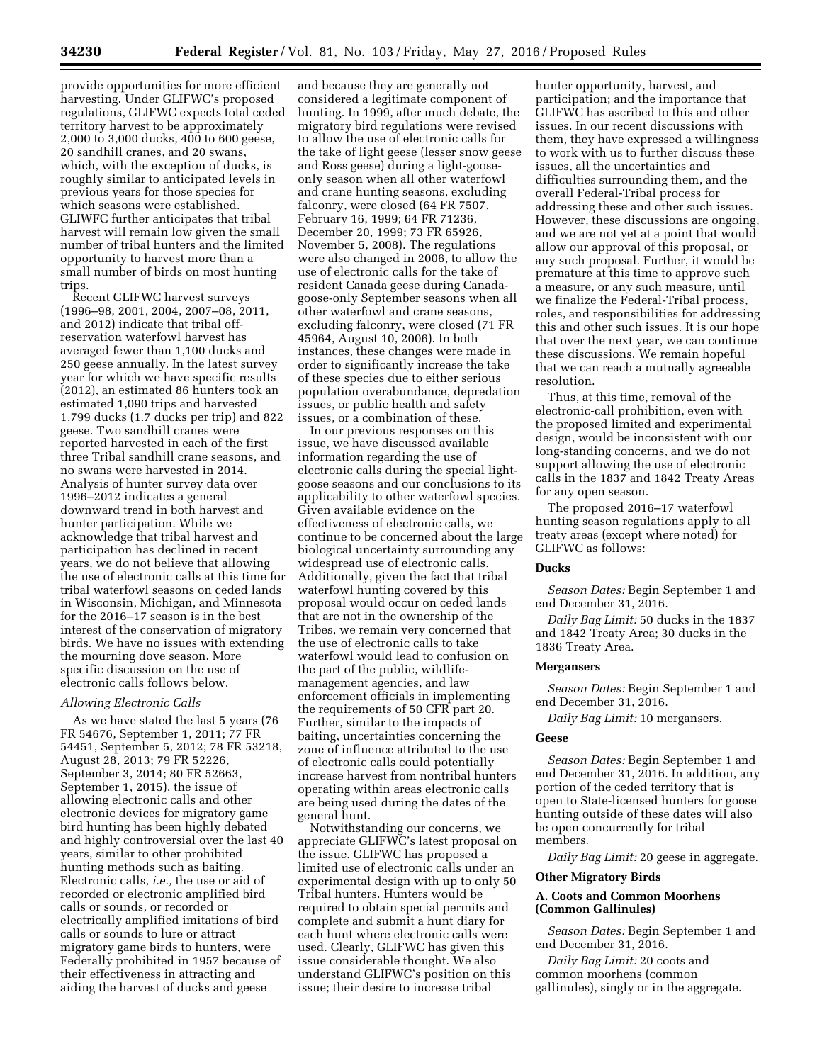provide opportunities for more efficient harvesting. Under GLIFWC's proposed regulations, GLIFWC expects total ceded territory harvest to be approximately 2,000 to 3,000 ducks, 400 to 600 geese, 20 sandhill cranes, and 20 swans, which, with the exception of ducks, is roughly similar to anticipated levels in previous years for those species for which seasons were established. GLIWFC further anticipates that tribal harvest will remain low given the small number of tribal hunters and the limited opportunity to harvest more than a small number of birds on most hunting trips.

Recent GLIFWC harvest surveys (1996–98, 2001, 2004, 2007–08, 2011, and 2012) indicate that tribal offreservation waterfowl harvest has averaged fewer than 1,100 ducks and 250 geese annually. In the latest survey year for which we have specific results (2012), an estimated 86 hunters took an estimated 1,090 trips and harvested 1,799 ducks (1.7 ducks per trip) and 822 geese. Two sandhill cranes were reported harvested in each of the first three Tribal sandhill crane seasons, and no swans were harvested in 2014. Analysis of hunter survey data over 1996–2012 indicates a general downward trend in both harvest and hunter participation. While we acknowledge that tribal harvest and participation has declined in recent years, we do not believe that allowing the use of electronic calls at this time for tribal waterfowl seasons on ceded lands in Wisconsin, Michigan, and Minnesota for the 2016–17 season is in the best interest of the conservation of migratory birds. We have no issues with extending the mourning dove season. More specific discussion on the use of electronic calls follows below.

#### *Allowing Electronic Calls*

As we have stated the last 5 years (76 FR 54676, September 1, 2011; 77 FR 54451, September 5, 2012; 78 FR 53218, August 28, 2013; 79 FR 52226, September 3, 2014; 80 FR 52663, September 1, 2015), the issue of allowing electronic calls and other electronic devices for migratory game bird hunting has been highly debated and highly controversial over the last 40 years, similar to other prohibited hunting methods such as baiting. Electronic calls, *i.e.,* the use or aid of recorded or electronic amplified bird calls or sounds, or recorded or electrically amplified imitations of bird calls or sounds to lure or attract migratory game birds to hunters, were Federally prohibited in 1957 because of their effectiveness in attracting and aiding the harvest of ducks and geese

and because they are generally not considered a legitimate component of hunting. In 1999, after much debate, the migratory bird regulations were revised to allow the use of electronic calls for the take of light geese (lesser snow geese and Ross geese) during a light-gooseonly season when all other waterfowl and crane hunting seasons, excluding falconry, were closed (64 FR 7507, February 16, 1999; 64 FR 71236, December 20, 1999; 73 FR 65926, November 5, 2008). The regulations were also changed in 2006, to allow the use of electronic calls for the take of resident Canada geese during Canadagoose-only September seasons when all other waterfowl and crane seasons, excluding falconry, were closed (71 FR 45964, August 10, 2006). In both instances, these changes were made in order to significantly increase the take of these species due to either serious population overabundance, depredation issues, or public health and safety issues, or a combination of these.

In our previous responses on this issue, we have discussed available information regarding the use of electronic calls during the special lightgoose seasons and our conclusions to its applicability to other waterfowl species. Given available evidence on the effectiveness of electronic calls, we continue to be concerned about the large biological uncertainty surrounding any widespread use of electronic calls. Additionally, given the fact that tribal waterfowl hunting covered by this proposal would occur on ceded lands that are not in the ownership of the Tribes, we remain very concerned that the use of electronic calls to take waterfowl would lead to confusion on the part of the public, wildlifemanagement agencies, and law enforcement officials in implementing the requirements of 50 CFR part 20. Further, similar to the impacts of baiting, uncertainties concerning the zone of influence attributed to the use of electronic calls could potentially increase harvest from nontribal hunters operating within areas electronic calls are being used during the dates of the general hunt.

Notwithstanding our concerns, we appreciate GLIFWC's latest proposal on the issue. GLIFWC has proposed a limited use of electronic calls under an experimental design with up to only 50 Tribal hunters. Hunters would be required to obtain special permits and complete and submit a hunt diary for each hunt where electronic calls were used. Clearly, GLIFWC has given this issue considerable thought. We also understand GLIFWC's position on this issue; their desire to increase tribal

hunter opportunity, harvest, and participation; and the importance that GLIFWC has ascribed to this and other issues. In our recent discussions with them, they have expressed a willingness to work with us to further discuss these issues, all the uncertainties and difficulties surrounding them, and the overall Federal-Tribal process for addressing these and other such issues. However, these discussions are ongoing, and we are not yet at a point that would allow our approval of this proposal, or any such proposal. Further, it would be premature at this time to approve such a measure, or any such measure, until we finalize the Federal-Tribal process, roles, and responsibilities for addressing this and other such issues. It is our hope that over the next year, we can continue these discussions. We remain hopeful that we can reach a mutually agreeable resolution.

Thus, at this time, removal of the electronic-call prohibition, even with the proposed limited and experimental design, would be inconsistent with our long-standing concerns, and we do not support allowing the use of electronic calls in the 1837 and 1842 Treaty Areas for any open season.

The proposed 2016–17 waterfowl hunting season regulations apply to all treaty areas (except where noted) for GLIFWC as follows:

#### **Ducks**

*Season Dates:* Begin September 1 and end December 31, 2016.

*Daily Bag Limit:* 50 ducks in the 1837 and 1842 Treaty Area; 30 ducks in the 1836 Treaty Area.

# **Mergansers**

*Season Dates:* Begin September 1 and end December 31, 2016.

*Daily Bag Limit:* 10 mergansers.

#### **Geese**

*Season Dates:* Begin September 1 and end December 31, 2016. In addition, any portion of the ceded territory that is open to State-licensed hunters for goose hunting outside of these dates will also be open concurrently for tribal members.

*Daily Bag Limit:* 20 geese in aggregate.

## **Other Migratory Birds**

## **A. Coots and Common Moorhens (Common Gallinules)**

*Season Dates:* Begin September 1 and end December 31, 2016.

*Daily Bag Limit:* 20 coots and common moorhens (common gallinules), singly or in the aggregate.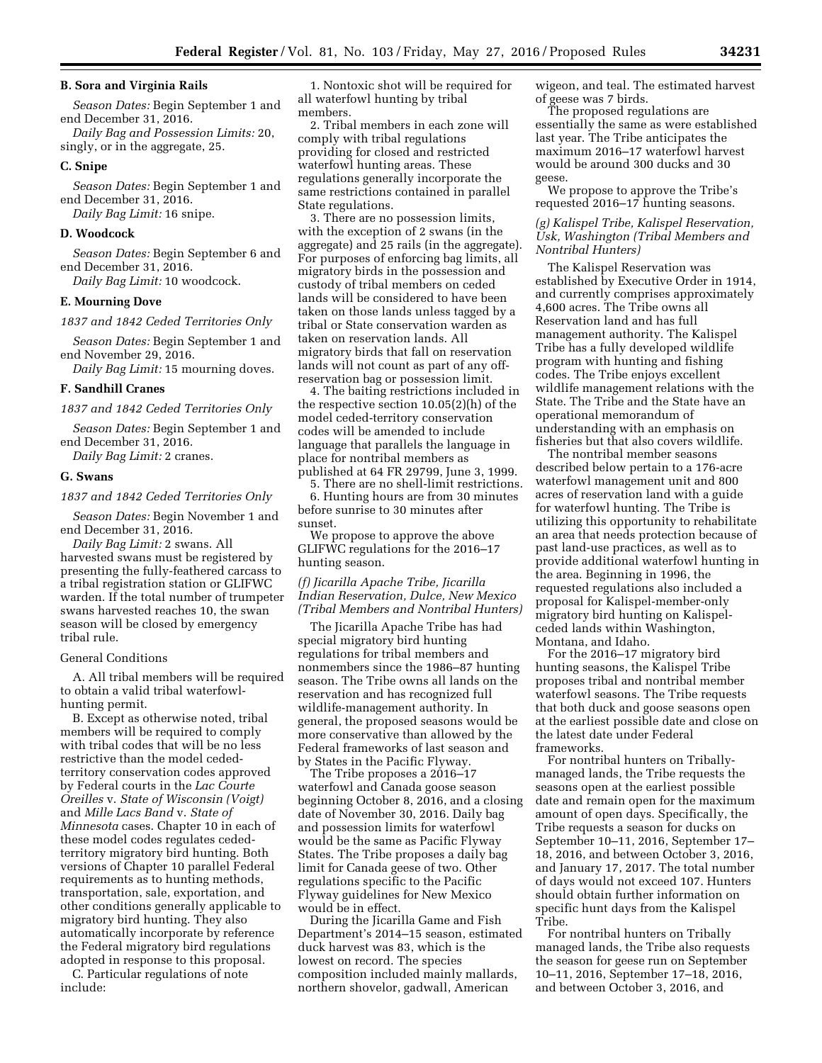#### **B. Sora and Virginia Rails**

*Season Dates:* Begin September 1 and end December 31, 2016.

*Daily Bag and Possession Limits:* 20, singly, or in the aggregate, 25.

#### **C. Snipe**

*Season Dates:* Begin September 1 and end December 31, 2016.

*Daily Bag Limit:* 16 snipe.

## **D. Woodcock**

*Season Dates:* Begin September 6 and end December 31, 2016.

*Daily Bag Limit:* 10 woodcock.

### **E. Mourning Dove**

*1837 and 1842 Ceded Territories Only* 

*Season Dates:* Begin September 1 and end November 29, 2016.

*Daily Bag Limit:* 15 mourning doves.

# **F. Sandhill Cranes**

*1837 and 1842 Ceded Territories Only* 

*Season Dates:* Begin September 1 and end December 31, 2016.

*Daily Bag Limit:* 2 cranes.

#### **G. Swans**

#### *1837 and 1842 Ceded Territories Only*

*Season Dates:* Begin November 1 and end December 31, 2016.

*Daily Bag Limit:* 2 swans. All harvested swans must be registered by presenting the fully-feathered carcass to a tribal registration station or GLIFWC warden. If the total number of trumpeter swans harvested reaches 10, the swan season will be closed by emergency tribal rule.

### General Conditions

A. All tribal members will be required to obtain a valid tribal waterfowlhunting permit.

B. Except as otherwise noted, tribal members will be required to comply with tribal codes that will be no less restrictive than the model cededterritory conservation codes approved by Federal courts in the *Lac Courte Oreilles* v. *State of Wisconsin (Voigt)*  and *Mille Lacs Band* v. *State of Minnesota* cases. Chapter 10 in each of these model codes regulates cededterritory migratory bird hunting. Both versions of Chapter 10 parallel Federal requirements as to hunting methods, transportation, sale, exportation, and other conditions generally applicable to migratory bird hunting. They also automatically incorporate by reference the Federal migratory bird regulations adopted in response to this proposal.

C. Particular regulations of note include:

1. Nontoxic shot will be required for all waterfowl hunting by tribal members.

2. Tribal members in each zone will comply with tribal regulations providing for closed and restricted waterfowl hunting areas. These regulations generally incorporate the same restrictions contained in parallel State regulations.

3. There are no possession limits, with the exception of 2 swans (in the aggregate) and 25 rails (in the aggregate). For purposes of enforcing bag limits, all migratory birds in the possession and custody of tribal members on ceded lands will be considered to have been taken on those lands unless tagged by a tribal or State conservation warden as taken on reservation lands. All migratory birds that fall on reservation lands will not count as part of any offreservation bag or possession limit.

4. The baiting restrictions included in the respective section 10.05(2)(h) of the model ceded-territory conservation codes will be amended to include language that parallels the language in place for nontribal members as published at 64 FR 29799, June 3, 1999.

5. There are no shell-limit restrictions. 6. Hunting hours are from 30 minutes before sunrise to 30 minutes after sunset.

We propose to approve the above GLIFWC regulations for the 2016–17 hunting season.

*(f) Jicarilla Apache Tribe, Jicarilla Indian Reservation, Dulce, New Mexico (Tribal Members and Nontribal Hunters)* 

The Jicarilla Apache Tribe has had special migratory bird hunting regulations for tribal members and nonmembers since the 1986–87 hunting season. The Tribe owns all lands on the reservation and has recognized full wildlife-management authority. In general, the proposed seasons would be more conservative than allowed by the Federal frameworks of last season and by States in the Pacific Flyway.

The Tribe proposes a 2016–17 waterfowl and Canada goose season beginning October 8, 2016, and a closing date of November 30, 2016. Daily bag and possession limits for waterfowl would be the same as Pacific Flyway States. The Tribe proposes a daily bag limit for Canada geese of two. Other regulations specific to the Pacific Flyway guidelines for New Mexico would be in effect.

During the Jicarilla Game and Fish Department's 2014–15 season, estimated duck harvest was 83, which is the lowest on record. The species composition included mainly mallards, northern shovelor, gadwall, American

wigeon, and teal. The estimated harvest of geese was 7 birds.

The proposed regulations are essentially the same as were established last year. The Tribe anticipates the maximum 2016–17 waterfowl harvest would be around 300 ducks and 30 geese.

We propose to approve the Tribe's requested 2016–17 hunting seasons.

## *(g) Kalispel Tribe, Kalispel Reservation, Usk, Washington (Tribal Members and Nontribal Hunters)*

The Kalispel Reservation was established by Executive Order in 1914, and currently comprises approximately 4,600 acres. The Tribe owns all Reservation land and has full management authority. The Kalispel Tribe has a fully developed wildlife program with hunting and fishing codes. The Tribe enjoys excellent wildlife management relations with the State. The Tribe and the State have an operational memorandum of understanding with an emphasis on fisheries but that also covers wildlife.

The nontribal member seasons described below pertain to a 176-acre waterfowl management unit and 800 acres of reservation land with a guide for waterfowl hunting. The Tribe is utilizing this opportunity to rehabilitate an area that needs protection because of past land-use practices, as well as to provide additional waterfowl hunting in the area. Beginning in 1996, the requested regulations also included a proposal for Kalispel-member-only migratory bird hunting on Kalispelceded lands within Washington, Montana, and Idaho.

For the 2016–17 migratory bird hunting seasons, the Kalispel Tribe proposes tribal and nontribal member waterfowl seasons. The Tribe requests that both duck and goose seasons open at the earliest possible date and close on the latest date under Federal frameworks.

For nontribal hunters on Triballymanaged lands, the Tribe requests the seasons open at the earliest possible date and remain open for the maximum amount of open days. Specifically, the Tribe requests a season for ducks on September 10–11, 2016, September 17– 18, 2016, and between October 3, 2016, and January 17, 2017. The total number of days would not exceed 107. Hunters should obtain further information on specific hunt days from the Kalispel Tribe.

For nontribal hunters on Tribally managed lands, the Tribe also requests the season for geese run on September 10–11, 2016, September 17–18, 2016, and between October 3, 2016, and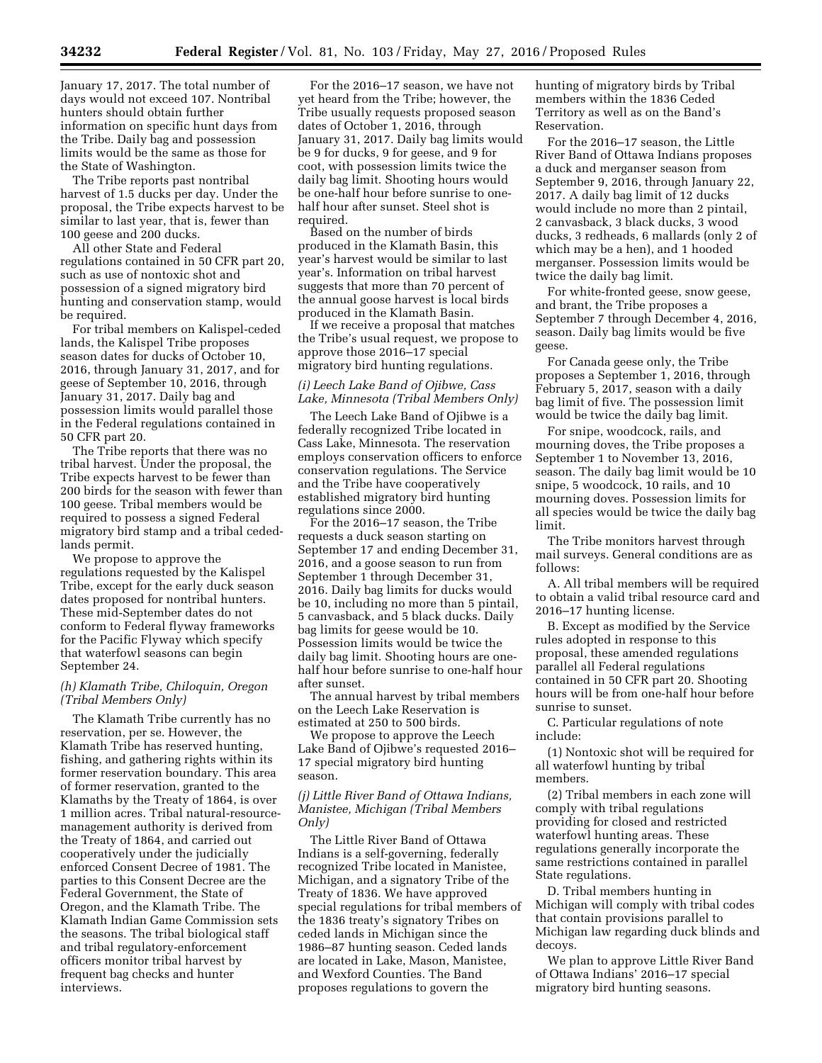January 17, 2017. The total number of days would not exceed 107. Nontribal hunters should obtain further information on specific hunt days from the Tribe. Daily bag and possession limits would be the same as those for the State of Washington.

The Tribe reports past nontribal harvest of 1.5 ducks per day. Under the proposal, the Tribe expects harvest to be similar to last year, that is, fewer than 100 geese and 200 ducks.

All other State and Federal regulations contained in 50 CFR part 20, such as use of nontoxic shot and possession of a signed migratory bird hunting and conservation stamp, would be required.

For tribal members on Kalispel-ceded lands, the Kalispel Tribe proposes season dates for ducks of October 10, 2016, through January 31, 2017, and for geese of September 10, 2016, through January 31, 2017. Daily bag and possession limits would parallel those in the Federal regulations contained in 50 CFR part 20.

The Tribe reports that there was no tribal harvest. Under the proposal, the Tribe expects harvest to be fewer than 200 birds for the season with fewer than 100 geese. Tribal members would be required to possess a signed Federal migratory bird stamp and a tribal cededlands permit.

We propose to approve the regulations requested by the Kalispel Tribe, except for the early duck season dates proposed for nontribal hunters. These mid-September dates do not conform to Federal flyway frameworks for the Pacific Flyway which specify that waterfowl seasons can begin September 24.

## *(h) Klamath Tribe, Chiloquin, Oregon (Tribal Members Only)*

The Klamath Tribe currently has no reservation, per se. However, the Klamath Tribe has reserved hunting, fishing, and gathering rights within its former reservation boundary. This area of former reservation, granted to the Klamaths by the Treaty of 1864, is over 1 million acres. Tribal natural-resourcemanagement authority is derived from the Treaty of 1864, and carried out cooperatively under the judicially enforced Consent Decree of 1981. The parties to this Consent Decree are the Federal Government, the State of Oregon, and the Klamath Tribe. The Klamath Indian Game Commission sets the seasons. The tribal biological staff and tribal regulatory-enforcement officers monitor tribal harvest by frequent bag checks and hunter interviews.

For the 2016–17 season, we have not yet heard from the Tribe; however, the Tribe usually requests proposed season dates of October 1, 2016, through January 31, 2017. Daily bag limits would be 9 for ducks, 9 for geese, and 9 for coot, with possession limits twice the daily bag limit. Shooting hours would be one-half hour before sunrise to onehalf hour after sunset. Steel shot is required.

Based on the number of birds produced in the Klamath Basin, this year's harvest would be similar to last year's. Information on tribal harvest suggests that more than 70 percent of the annual goose harvest is local birds produced in the Klamath Basin.

If we receive a proposal that matches the Tribe's usual request, we propose to approve those 2016–17 special migratory bird hunting regulations.

# *(i) Leech Lake Band of Ojibwe, Cass Lake, Minnesota (Tribal Members Only)*

The Leech Lake Band of Ojibwe is a federally recognized Tribe located in Cass Lake, Minnesota. The reservation employs conservation officers to enforce conservation regulations. The Service and the Tribe have cooperatively established migratory bird hunting regulations since 2000.

For the 2016–17 season, the Tribe requests a duck season starting on September 17 and ending December 31, 2016, and a goose season to run from September 1 through December 31, 2016. Daily bag limits for ducks would be 10, including no more than 5 pintail, 5 canvasback, and 5 black ducks. Daily bag limits for geese would be 10. Possession limits would be twice the daily bag limit. Shooting hours are onehalf hour before sunrise to one-half hour after sunset.

The annual harvest by tribal members on the Leech Lake Reservation is estimated at 250 to 500 birds.

We propose to approve the Leech Lake Band of Ojibwe's requested 2016– 17 special migratory bird hunting season.

# *(j) Little River Band of Ottawa Indians, Manistee, Michigan (Tribal Members Only)*

The Little River Band of Ottawa Indians is a self-governing, federally recognized Tribe located in Manistee, Michigan, and a signatory Tribe of the Treaty of 1836. We have approved special regulations for tribal members of the 1836 treaty's signatory Tribes on ceded lands in Michigan since the 1986–87 hunting season. Ceded lands are located in Lake, Mason, Manistee, and Wexford Counties. The Band proposes regulations to govern the

hunting of migratory birds by Tribal members within the 1836 Ceded Territory as well as on the Band's Reservation.

For the 2016–17 season, the Little River Band of Ottawa Indians proposes a duck and merganser season from September 9, 2016, through January 22, 2017. A daily bag limit of 12 ducks would include no more than 2 pintail, 2 canvasback, 3 black ducks, 3 wood ducks, 3 redheads, 6 mallards (only 2 of which may be a hen), and 1 hooded merganser. Possession limits would be twice the daily bag limit.

For white-fronted geese, snow geese, and brant, the Tribe proposes a September 7 through December 4, 2016, season. Daily bag limits would be five geese.

For Canada geese only, the Tribe proposes a September 1, 2016, through February 5, 2017, season with a daily bag limit of five. The possession limit would be twice the daily bag limit.

For snipe, woodcock, rails, and mourning doves, the Tribe proposes a September 1 to November 13, 2016, season. The daily bag limit would be 10 snipe, 5 woodcock, 10 rails, and 10 mourning doves. Possession limits for all species would be twice the daily bag limit.

The Tribe monitors harvest through mail surveys. General conditions are as follows:

A. All tribal members will be required to obtain a valid tribal resource card and 2016–17 hunting license.

B. Except as modified by the Service rules adopted in response to this proposal, these amended regulations parallel all Federal regulations contained in 50 CFR part 20. Shooting hours will be from one-half hour before sunrise to sunset.

C. Particular regulations of note include:

(1) Nontoxic shot will be required for all waterfowl hunting by tribal members.

(2) Tribal members in each zone will comply with tribal regulations providing for closed and restricted waterfowl hunting areas. These regulations generally incorporate the same restrictions contained in parallel State regulations.

D. Tribal members hunting in Michigan will comply with tribal codes that contain provisions parallel to Michigan law regarding duck blinds and decoys.

We plan to approve Little River Band of Ottawa Indians' 2016–17 special migratory bird hunting seasons.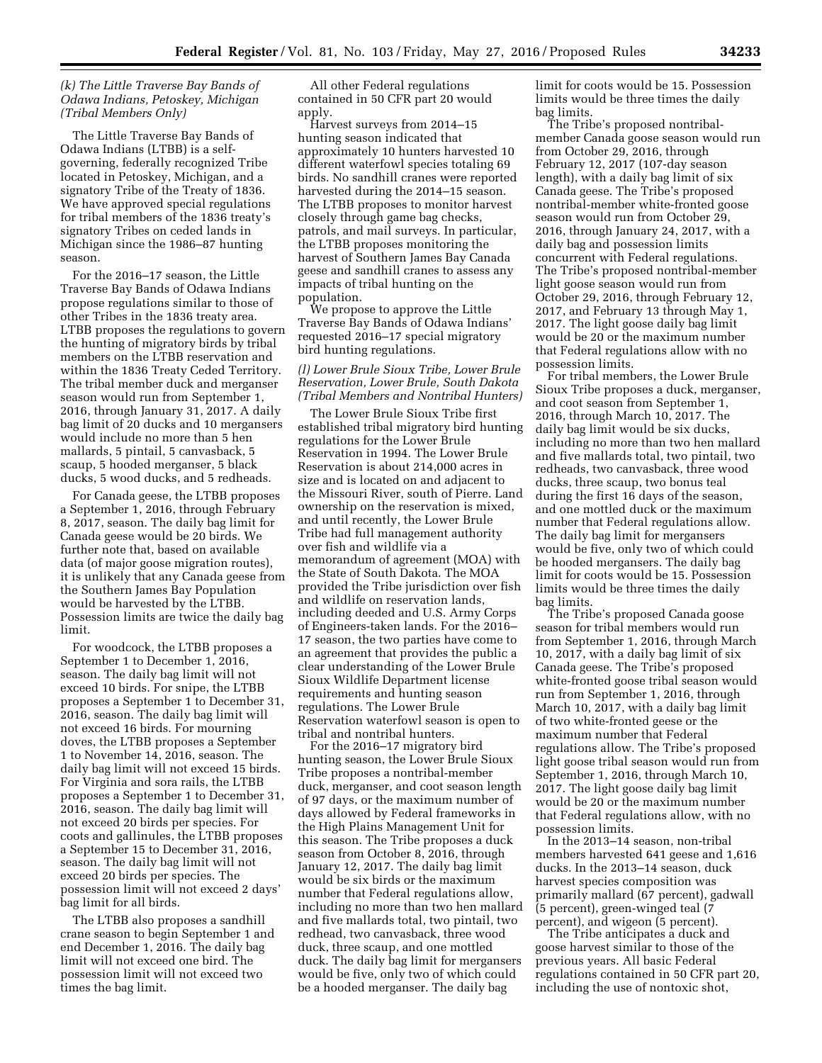# *(k) The Little Traverse Bay Bands of Odawa Indians, Petoskey, Michigan (Tribal Members Only)*

The Little Traverse Bay Bands of Odawa Indians (LTBB) is a selfgoverning, federally recognized Tribe located in Petoskey, Michigan, and a signatory Tribe of the Treaty of 1836. We have approved special regulations for tribal members of the 1836 treaty's signatory Tribes on ceded lands in Michigan since the 1986–87 hunting season.

For the 2016–17 season, the Little Traverse Bay Bands of Odawa Indians propose regulations similar to those of other Tribes in the 1836 treaty area. LTBB proposes the regulations to govern the hunting of migratory birds by tribal members on the LTBB reservation and within the 1836 Treaty Ceded Territory. The tribal member duck and merganser season would run from September 1, 2016, through January 31, 2017. A daily bag limit of 20 ducks and 10 mergansers would include no more than 5 hen mallards, 5 pintail, 5 canvasback, 5 scaup, 5 hooded merganser, 5 black ducks, 5 wood ducks, and 5 redheads.

For Canada geese, the LTBB proposes a September 1, 2016, through February 8, 2017, season. The daily bag limit for Canada geese would be 20 birds. We further note that, based on available data (of major goose migration routes), it is unlikely that any Canada geese from the Southern James Bay Population would be harvested by the LTBB. Possession limits are twice the daily bag limit.

For woodcock, the LTBB proposes a September 1 to December 1, 2016, season. The daily bag limit will not exceed 10 birds. For snipe, the LTBB proposes a September 1 to December 31, 2016, season. The daily bag limit will not exceed 16 birds. For mourning doves, the LTBB proposes a September 1 to November 14, 2016, season. The daily bag limit will not exceed 15 birds. For Virginia and sora rails, the LTBB proposes a September 1 to December 31, 2016, season. The daily bag limit will not exceed 20 birds per species. For coots and gallinules, the LTBB proposes a September 15 to December 31, 2016, season. The daily bag limit will not exceed 20 birds per species. The possession limit will not exceed 2 days' bag limit for all birds.

The LTBB also proposes a sandhill crane season to begin September 1 and end December 1, 2016. The daily bag limit will not exceed one bird. The possession limit will not exceed two times the bag limit.

All other Federal regulations contained in 50 CFR part 20 would apply.

Harvest surveys from 2014–15 hunting season indicated that approximately 10 hunters harvested 10 different waterfowl species totaling 69 birds. No sandhill cranes were reported harvested during the 2014–15 season. The LTBB proposes to monitor harvest closely through game bag checks, patrols, and mail surveys. In particular, the LTBB proposes monitoring the harvest of Southern James Bay Canada geese and sandhill cranes to assess any impacts of tribal hunting on the population.

We propose to approve the Little Traverse Bay Bands of Odawa Indians' requested 2016–17 special migratory bird hunting regulations.

# *(l) Lower Brule Sioux Tribe, Lower Brule Reservation, Lower Brule, South Dakota (Tribal Members and Nontribal Hunters)*

The Lower Brule Sioux Tribe first established tribal migratory bird hunting regulations for the Lower Brule Reservation in 1994. The Lower Brule Reservation is about 214,000 acres in size and is located on and adjacent to the Missouri River, south of Pierre. Land ownership on the reservation is mixed, and until recently, the Lower Brule Tribe had full management authority over fish and wildlife via a memorandum of agreement (MOA) with the State of South Dakota. The MOA provided the Tribe jurisdiction over fish and wildlife on reservation lands, including deeded and U.S. Army Corps of Engineers-taken lands. For the 2016– 17 season, the two parties have come to an agreement that provides the public a clear understanding of the Lower Brule Sioux Wildlife Department license requirements and hunting season regulations. The Lower Brule Reservation waterfowl season is open to tribal and nontribal hunters.

For the 2016–17 migratory bird hunting season, the Lower Brule Sioux Tribe proposes a nontribal-member duck, merganser, and coot season length of 97 days, or the maximum number of days allowed by Federal frameworks in the High Plains Management Unit for this season. The Tribe proposes a duck season from October 8, 2016, through January 12, 2017. The daily bag limit would be six birds or the maximum number that Federal regulations allow, including no more than two hen mallard and five mallards total, two pintail, two redhead, two canvasback, three wood duck, three scaup, and one mottled duck. The daily bag limit for mergansers would be five, only two of which could be a hooded merganser. The daily bag

limit for coots would be 15. Possession limits would be three times the daily bag limits.

The Tribe's proposed nontribalmember Canada goose season would run from October 29, 2016, through February 12, 2017 (107-day season length), with a daily bag limit of six Canada geese. The Tribe's proposed nontribal-member white-fronted goose season would run from October 29, 2016, through January 24, 2017, with a daily bag and possession limits concurrent with Federal regulations. The Tribe's proposed nontribal-member light goose season would run from October 29, 2016, through February 12, 2017, and February 13 through May 1, 2017. The light goose daily bag limit would be 20 or the maximum number that Federal regulations allow with no possession limits.

For tribal members, the Lower Brule Sioux Tribe proposes a duck, merganser, and coot season from September 1, 2016, through March 10, 2017. The daily bag limit would be six ducks, including no more than two hen mallard and five mallards total, two pintail, two redheads, two canvasback, three wood ducks, three scaup, two bonus teal during the first 16 days of the season, and one mottled duck or the maximum number that Federal regulations allow. The daily bag limit for mergansers would be five, only two of which could be hooded mergansers. The daily bag limit for coots would be 15. Possession limits would be three times the daily bag limits.

The Tribe's proposed Canada goose season for tribal members would run from September 1, 2016, through March 10, 2017, with a daily bag limit of six Canada geese. The Tribe's proposed white-fronted goose tribal season would run from September 1, 2016, through March 10, 2017, with a daily bag limit of two white-fronted geese or the maximum number that Federal regulations allow. The Tribe's proposed light goose tribal season would run from September 1, 2016, through March 10, 2017. The light goose daily bag limit would be 20 or the maximum number that Federal regulations allow, with no possession limits.

In the 2013–14 season, non-tribal members harvested 641 geese and 1,616 ducks. In the 2013–14 season, duck harvest species composition was primarily mallard (67 percent), gadwall (5 percent), green-winged teal (7 percent), and wigeon (5 percent).

The Tribe anticipates a duck and goose harvest similar to those of the previous years. All basic Federal regulations contained in 50 CFR part 20, including the use of nontoxic shot,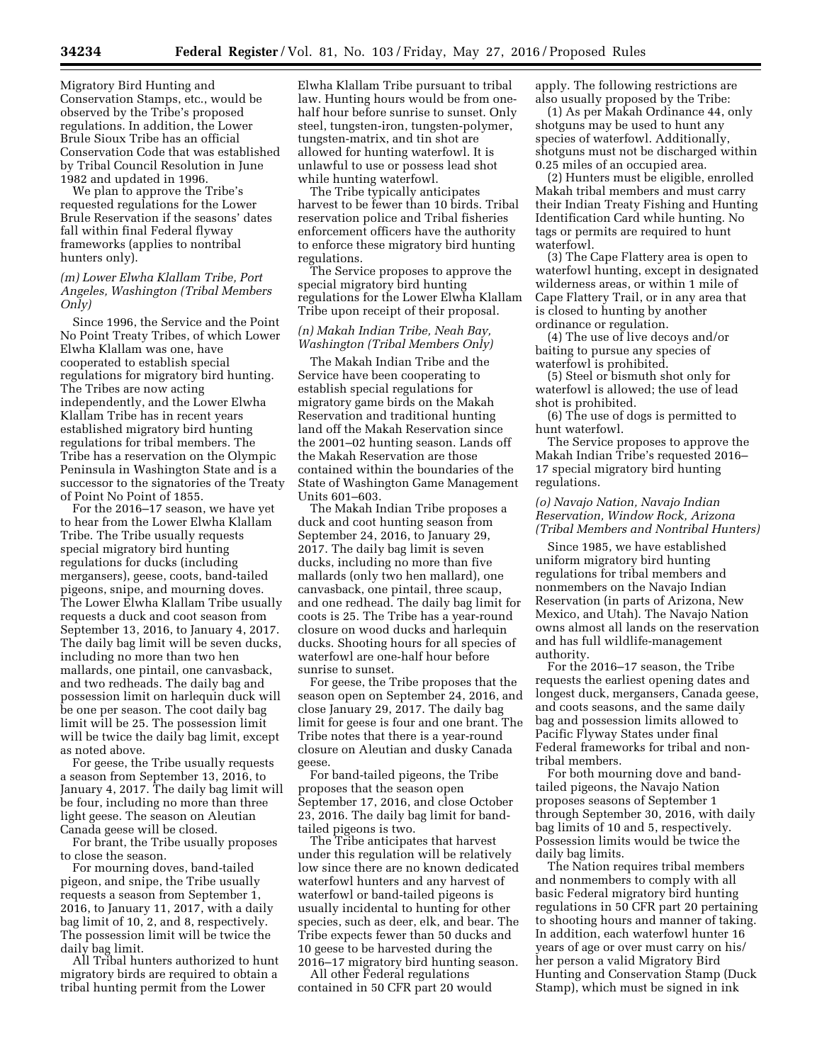Migratory Bird Hunting and Conservation Stamps, etc., would be observed by the Tribe's proposed regulations. In addition, the Lower Brule Sioux Tribe has an official Conservation Code that was established by Tribal Council Resolution in June 1982 and updated in 1996.

We plan to approve the Tribe's requested regulations for the Lower Brule Reservation if the seasons' dates fall within final Federal flyway frameworks (applies to nontribal hunters only).

## *(m) Lower Elwha Klallam Tribe, Port Angeles, Washington (Tribal Members Only)*

Since 1996, the Service and the Point No Point Treaty Tribes, of which Lower Elwha Klallam was one, have cooperated to establish special regulations for migratory bird hunting. The Tribes are now acting independently, and the Lower Elwha Klallam Tribe has in recent years established migratory bird hunting regulations for tribal members. The Tribe has a reservation on the Olympic Peninsula in Washington State and is a successor to the signatories of the Treaty of Point No Point of 1855.

For the 2016–17 season, we have yet to hear from the Lower Elwha Klallam Tribe. The Tribe usually requests special migratory bird hunting regulations for ducks (including mergansers), geese, coots, band-tailed pigeons, snipe, and mourning doves. The Lower Elwha Klallam Tribe usually requests a duck and coot season from September 13, 2016, to January 4, 2017. The daily bag limit will be seven ducks, including no more than two hen mallards, one pintail, one canvasback, and two redheads. The daily bag and possession limit on harlequin duck will be one per season. The coot daily bag limit will be 25. The possession limit will be twice the daily bag limit, except as noted above.

For geese, the Tribe usually requests a season from September 13, 2016, to January 4, 2017. The daily bag limit will be four, including no more than three light geese. The season on Aleutian Canada geese will be closed.

For brant, the Tribe usually proposes to close the season.

For mourning doves, band-tailed pigeon, and snipe, the Tribe usually requests a season from September 1, 2016, to January 11, 2017, with a daily bag limit of 10, 2, and 8, respectively. The possession limit will be twice the daily bag limit.

All Tribal hunters authorized to hunt migratory birds are required to obtain a tribal hunting permit from the Lower

Elwha Klallam Tribe pursuant to tribal law. Hunting hours would be from onehalf hour before sunrise to sunset. Only steel, tungsten-iron, tungsten-polymer, tungsten-matrix, and tin shot are allowed for hunting waterfowl. It is unlawful to use or possess lead shot while hunting waterfowl.

The Tribe typically anticipates harvest to be fewer than 10 birds. Tribal reservation police and Tribal fisheries enforcement officers have the authority to enforce these migratory bird hunting regulations.

The Service proposes to approve the special migratory bird hunting regulations for the Lower Elwha Klallam Tribe upon receipt of their proposal.

# *(n) Makah Indian Tribe, Neah Bay, Washington (Tribal Members Only)*

The Makah Indian Tribe and the Service have been cooperating to establish special regulations for migratory game birds on the Makah Reservation and traditional hunting land off the Makah Reservation since the 2001–02 hunting season. Lands off the Makah Reservation are those contained within the boundaries of the State of Washington Game Management Units 601–603.

The Makah Indian Tribe proposes a duck and coot hunting season from September 24, 2016, to January 29, 2017. The daily bag limit is seven ducks, including no more than five mallards (only two hen mallard), one canvasback, one pintail, three scaup, and one redhead. The daily bag limit for coots is 25. The Tribe has a year-round closure on wood ducks and harlequin ducks. Shooting hours for all species of waterfowl are one-half hour before sunrise to sunset.

For geese, the Tribe proposes that the season open on September 24, 2016, and close January 29, 2017. The daily bag limit for geese is four and one brant. The Tribe notes that there is a year-round closure on Aleutian and dusky Canada geese.

For band-tailed pigeons, the Tribe proposes that the season open September 17, 2016, and close October 23, 2016. The daily bag limit for bandtailed pigeons is two.

The Tribe anticipates that harvest under this regulation will be relatively low since there are no known dedicated waterfowl hunters and any harvest of waterfowl or band-tailed pigeons is usually incidental to hunting for other species, such as deer, elk, and bear. The Tribe expects fewer than 50 ducks and 10 geese to be harvested during the 2016–17 migratory bird hunting season.

All other Federal regulations contained in 50 CFR part 20 would apply. The following restrictions are also usually proposed by the Tribe:

(1) As per Makah Ordinance 44, only shotguns may be used to hunt any species of waterfowl. Additionally, shotguns must not be discharged within 0.25 miles of an occupied area.

(2) Hunters must be eligible, enrolled Makah tribal members and must carry their Indian Treaty Fishing and Hunting Identification Card while hunting. No tags or permits are required to hunt waterfowl.

(3) The Cape Flattery area is open to waterfowl hunting, except in designated wilderness areas, or within 1 mile of Cape Flattery Trail, or in any area that is closed to hunting by another ordinance or regulation.

(4) The use of live decoys and/or baiting to pursue any species of waterfowl is prohibited.

(5) Steel or bismuth shot only for waterfowl is allowed; the use of lead shot is prohibited.

(6) The use of dogs is permitted to hunt waterfowl.

The Service proposes to approve the Makah Indian Tribe's requested 2016– 17 special migratory bird hunting regulations.

# *(o) Navajo Nation, Navajo Indian Reservation, Window Rock, Arizona (Tribal Members and Nontribal Hunters)*

Since 1985, we have established uniform migratory bird hunting regulations for tribal members and nonmembers on the Navajo Indian Reservation (in parts of Arizona, New Mexico, and Utah). The Navajo Nation owns almost all lands on the reservation and has full wildlife-management authority.

For the 2016–17 season, the Tribe requests the earliest opening dates and longest duck, mergansers, Canada geese, and coots seasons, and the same daily bag and possession limits allowed to Pacific Flyway States under final Federal frameworks for tribal and nontribal members.

For both mourning dove and bandtailed pigeons, the Navajo Nation proposes seasons of September 1 through September 30, 2016, with daily bag limits of 10 and 5, respectively. Possession limits would be twice the daily bag limits.

The Nation requires tribal members and nonmembers to comply with all basic Federal migratory bird hunting regulations in 50 CFR part 20 pertaining to shooting hours and manner of taking. In addition, each waterfowl hunter 16 years of age or over must carry on his/ her person a valid Migratory Bird Hunting and Conservation Stamp (Duck Stamp), which must be signed in ink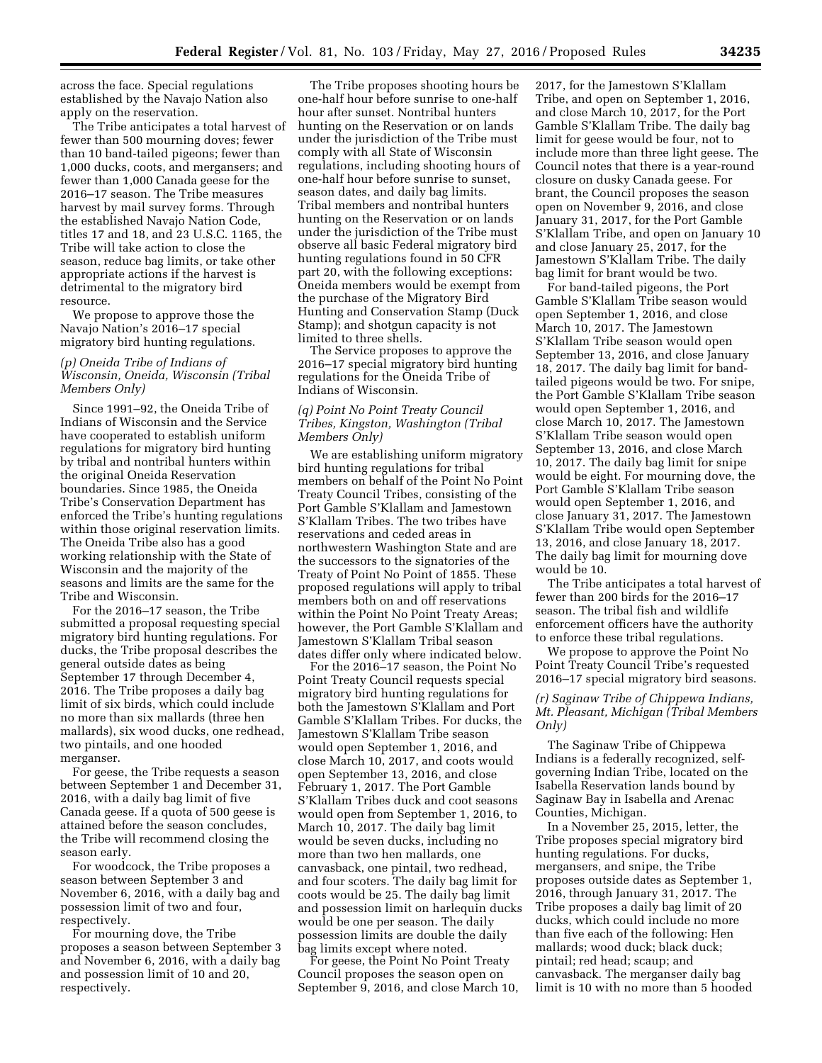across the face. Special regulations established by the Navajo Nation also apply on the reservation.

The Tribe anticipates a total harvest of fewer than 500 mourning doves; fewer than 10 band-tailed pigeons; fewer than 1,000 ducks, coots, and mergansers; and fewer than 1,000 Canada geese for the 2016–17 season. The Tribe measures harvest by mail survey forms. Through the established Navajo Nation Code, titles 17 and 18, and 23 U.S.C. 1165, the Tribe will take action to close the season, reduce bag limits, or take other appropriate actions if the harvest is detrimental to the migratory bird resource.

We propose to approve those the Navajo Nation's 2016–17 special migratory bird hunting regulations.

# *(p) Oneida Tribe of Indians of Wisconsin, Oneida, Wisconsin (Tribal Members Only)*

Since 1991–92, the Oneida Tribe of Indians of Wisconsin and the Service have cooperated to establish uniform regulations for migratory bird hunting by tribal and nontribal hunters within the original Oneida Reservation boundaries. Since 1985, the Oneida Tribe's Conservation Department has enforced the Tribe's hunting regulations within those original reservation limits. The Oneida Tribe also has a good working relationship with the State of Wisconsin and the majority of the seasons and limits are the same for the Tribe and Wisconsin.

For the 2016–17 season, the Tribe submitted a proposal requesting special migratory bird hunting regulations. For ducks, the Tribe proposal describes the general outside dates as being September 17 through December 4, 2016. The Tribe proposes a daily bag limit of six birds, which could include no more than six mallards (three hen mallards), six wood ducks, one redhead, two pintails, and one hooded merganser.

For geese, the Tribe requests a season between September 1 and December 31, 2016, with a daily bag limit of five Canada geese. If a quota of 500 geese is attained before the season concludes, the Tribe will recommend closing the season early.

For woodcock, the Tribe proposes a season between September 3 and November 6, 2016, with a daily bag and possession limit of two and four, respectively.

For mourning dove, the Tribe proposes a season between September 3 and November 6, 2016, with a daily bag and possession limit of 10 and 20, respectively.

The Tribe proposes shooting hours be one-half hour before sunrise to one-half hour after sunset. Nontribal hunters hunting on the Reservation or on lands under the jurisdiction of the Tribe must comply with all State of Wisconsin regulations, including shooting hours of one-half hour before sunrise to sunset, season dates, and daily bag limits. Tribal members and nontribal hunters hunting on the Reservation or on lands under the jurisdiction of the Tribe must observe all basic Federal migratory bird hunting regulations found in 50 CFR part 20, with the following exceptions: Oneida members would be exempt from the purchase of the Migratory Bird Hunting and Conservation Stamp (Duck Stamp); and shotgun capacity is not limited to three shells.

The Service proposes to approve the 2016–17 special migratory bird hunting regulations for the Oneida Tribe of Indians of Wisconsin.

# *(q) Point No Point Treaty Council Tribes, Kingston, Washington (Tribal Members Only)*

We are establishing uniform migratory bird hunting regulations for tribal members on behalf of the Point No Point Treaty Council Tribes, consisting of the Port Gamble S'Klallam and Jamestown S'Klallam Tribes. The two tribes have reservations and ceded areas in northwestern Washington State and are the successors to the signatories of the Treaty of Point No Point of 1855. These proposed regulations will apply to tribal members both on and off reservations within the Point No Point Treaty Areas; however, the Port Gamble S'Klallam and Jamestown S'Klallam Tribal season dates differ only where indicated below.

For the 2016–17 season, the Point No Point Treaty Council requests special migratory bird hunting regulations for both the Jamestown S'Klallam and Port Gamble S'Klallam Tribes. For ducks, the Jamestown S'Klallam Tribe season would open September 1, 2016, and close March 10, 2017, and coots would open September 13, 2016, and close February 1, 2017. The Port Gamble S'Klallam Tribes duck and coot seasons would open from September 1, 2016, to March 10, 2017. The daily bag limit would be seven ducks, including no more than two hen mallards, one canvasback, one pintail, two redhead, and four scoters. The daily bag limit for coots would be 25. The daily bag limit and possession limit on harlequin ducks would be one per season. The daily possession limits are double the daily bag limits except where noted.

For geese, the Point No Point Treaty Council proposes the season open on September 9, 2016, and close March 10, 2017, for the Jamestown S'Klallam Tribe, and open on September 1, 2016, and close March 10, 2017, for the Port Gamble S'Klallam Tribe. The daily bag limit for geese would be four, not to include more than three light geese. The Council notes that there is a year-round closure on dusky Canada geese. For brant, the Council proposes the season open on November 9, 2016, and close January 31, 2017, for the Port Gamble S'Klallam Tribe, and open on January 10 and close January 25, 2017, for the Jamestown S'Klallam Tribe. The daily bag limit for brant would be two.

For band-tailed pigeons, the Port Gamble S'Klallam Tribe season would open September 1, 2016, and close March 10, 2017. The Jamestown S'Klallam Tribe season would open September 13, 2016, and close January 18, 2017. The daily bag limit for bandtailed pigeons would be two. For snipe, the Port Gamble S'Klallam Tribe season would open September 1, 2016, and close March 10, 2017. The Jamestown S'Klallam Tribe season would open September 13, 2016, and close March 10, 2017. The daily bag limit for snipe would be eight. For mourning dove, the Port Gamble S'Klallam Tribe season would open September 1, 2016, and close January 31, 2017. The Jamestown S'Klallam Tribe would open September 13, 2016, and close January 18, 2017. The daily bag limit for mourning dove would be 10.

The Tribe anticipates a total harvest of fewer than 200 birds for the 2016–17 season. The tribal fish and wildlife enforcement officers have the authority to enforce these tribal regulations.

We propose to approve the Point No Point Treaty Council Tribe's requested 2016–17 special migratory bird seasons.

# *(r) Saginaw Tribe of Chippewa Indians, Mt. Pleasant, Michigan (Tribal Members Only)*

The Saginaw Tribe of Chippewa Indians is a federally recognized, selfgoverning Indian Tribe, located on the Isabella Reservation lands bound by Saginaw Bay in Isabella and Arenac Counties, Michigan.

In a November 25, 2015, letter, the Tribe proposes special migratory bird hunting regulations. For ducks, mergansers, and snipe, the Tribe proposes outside dates as September 1, 2016, through January 31, 2017. The Tribe proposes a daily bag limit of 20 ducks, which could include no more than five each of the following: Hen mallards; wood duck; black duck; pintail; red head; scaup; and canvasback. The merganser daily bag limit is 10 with no more than 5 hooded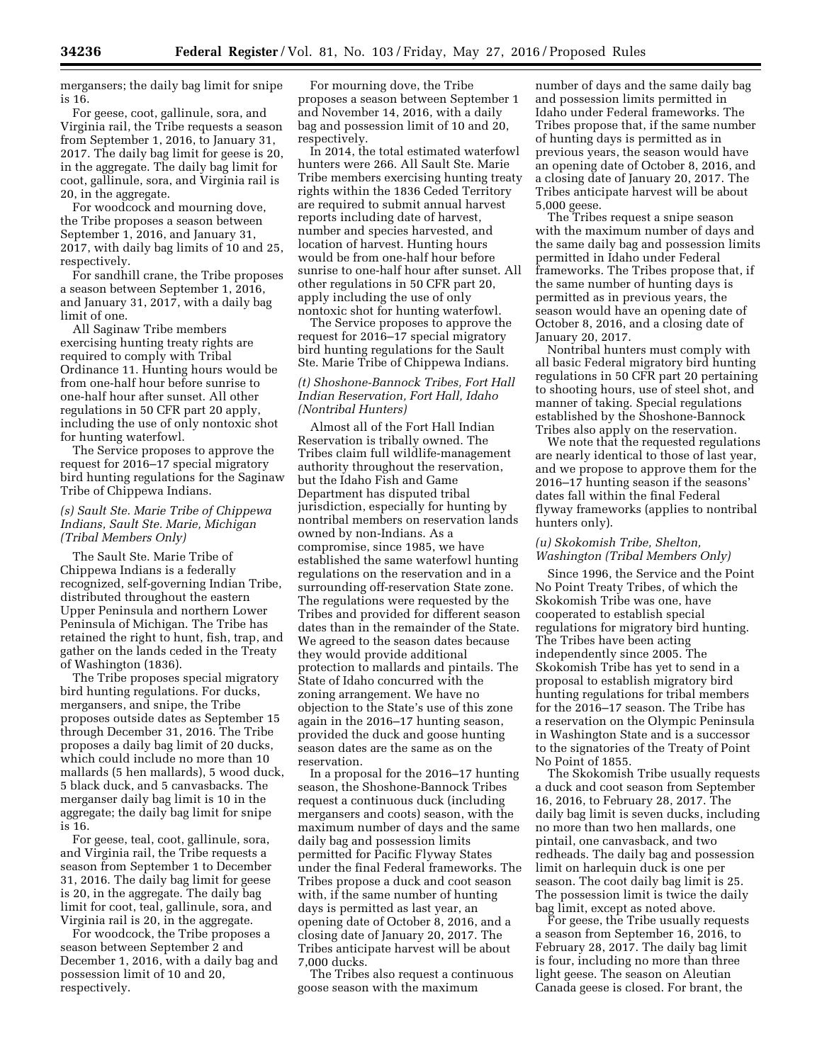mergansers; the daily bag limit for snipe is 16.

For geese, coot, gallinule, sora, and Virginia rail, the Tribe requests a season from September 1, 2016, to January 31, 2017. The daily bag limit for geese is 20, in the aggregate. The daily bag limit for coot, gallinule, sora, and Virginia rail is 20, in the aggregate.

For woodcock and mourning dove, the Tribe proposes a season between September 1, 2016, and January 31, 2017, with daily bag limits of 10 and 25, respectively.

For sandhill crane, the Tribe proposes a season between September 1, 2016, and January 31, 2017, with a daily bag limit of one.

All Saginaw Tribe members exercising hunting treaty rights are required to comply with Tribal Ordinance 11. Hunting hours would be from one-half hour before sunrise to one-half hour after sunset. All other regulations in 50 CFR part 20 apply, including the use of only nontoxic shot for hunting waterfowl.

The Service proposes to approve the request for 2016–17 special migratory bird hunting regulations for the Saginaw Tribe of Chippewa Indians.

## *(s) Sault Ste. Marie Tribe of Chippewa Indians, Sault Ste. Marie, Michigan (Tribal Members Only)*

The Sault Ste. Marie Tribe of Chippewa Indians is a federally recognized, self-governing Indian Tribe, distributed throughout the eastern Upper Peninsula and northern Lower Peninsula of Michigan. The Tribe has retained the right to hunt, fish, trap, and gather on the lands ceded in the Treaty of Washington (1836).

The Tribe proposes special migratory bird hunting regulations. For ducks, mergansers, and snipe, the Tribe proposes outside dates as September 15 through December 31, 2016. The Tribe proposes a daily bag limit of 20 ducks, which could include no more than 10 mallards (5 hen mallards), 5 wood duck, 5 black duck, and 5 canvasbacks. The merganser daily bag limit is 10 in the aggregate; the daily bag limit for snipe is 16.

For geese, teal, coot, gallinule, sora, and Virginia rail, the Tribe requests a season from September 1 to December 31, 2016. The daily bag limit for geese is 20, in the aggregate. The daily bag limit for coot, teal, gallinule, sora, and Virginia rail is 20, in the aggregate.

For woodcock, the Tribe proposes a season between September 2 and December 1, 2016, with a daily bag and possession limit of 10 and 20, respectively.

For mourning dove, the Tribe proposes a season between September 1 and November 14, 2016, with a daily bag and possession limit of 10 and 20, respectively.

In 2014, the total estimated waterfowl hunters were 266. All Sault Ste. Marie Tribe members exercising hunting treaty rights within the 1836 Ceded Territory are required to submit annual harvest reports including date of harvest, number and species harvested, and location of harvest. Hunting hours would be from one-half hour before sunrise to one-half hour after sunset. All other regulations in 50 CFR part 20, apply including the use of only nontoxic shot for hunting waterfowl.

The Service proposes to approve the request for 2016–17 special migratory bird hunting regulations for the Sault Ste. Marie Tribe of Chippewa Indians.

# *(t) Shoshone-Bannock Tribes, Fort Hall Indian Reservation, Fort Hall, Idaho (Nontribal Hunters)*

Almost all of the Fort Hall Indian Reservation is tribally owned. The Tribes claim full wildlife-management authority throughout the reservation, but the Idaho Fish and Game Department has disputed tribal jurisdiction, especially for hunting by nontribal members on reservation lands owned by non-Indians. As a compromise, since 1985, we have established the same waterfowl hunting regulations on the reservation and in a surrounding off-reservation State zone. The regulations were requested by the Tribes and provided for different season dates than in the remainder of the State. We agreed to the season dates because they would provide additional protection to mallards and pintails. The State of Idaho concurred with the zoning arrangement. We have no objection to the State's use of this zone again in the 2016–17 hunting season, provided the duck and goose hunting season dates are the same as on the reservation.

In a proposal for the 2016–17 hunting season, the Shoshone-Bannock Tribes request a continuous duck (including mergansers and coots) season, with the maximum number of days and the same daily bag and possession limits permitted for Pacific Flyway States under the final Federal frameworks. The Tribes propose a duck and coot season with, if the same number of hunting days is permitted as last year, an opening date of October 8, 2016, and a closing date of January 20, 2017. The Tribes anticipate harvest will be about 7,000 ducks.

The Tribes also request a continuous goose season with the maximum

number of days and the same daily bag and possession limits permitted in Idaho under Federal frameworks. The Tribes propose that, if the same number of hunting days is permitted as in previous years, the season would have an opening date of October 8, 2016, and a closing date of January 20, 2017. The Tribes anticipate harvest will be about 5,000 geese.

The Tribes request a snipe season with the maximum number of days and the same daily bag and possession limits permitted in Idaho under Federal frameworks. The Tribes propose that, if the same number of hunting days is permitted as in previous years, the season would have an opening date of October 8, 2016, and a closing date of January 20, 2017.

Nontribal hunters must comply with all basic Federal migratory bird hunting regulations in 50 CFR part 20 pertaining to shooting hours, use of steel shot, and manner of taking. Special regulations established by the Shoshone-Bannock Tribes also apply on the reservation.

We note that the requested regulations are nearly identical to those of last year, and we propose to approve them for the 2016–17 hunting season if the seasons' dates fall within the final Federal flyway frameworks (applies to nontribal hunters only).

### *(u) Skokomish Tribe, Shelton, Washington (Tribal Members Only)*

Since 1996, the Service and the Point No Point Treaty Tribes, of which the Skokomish Tribe was one, have cooperated to establish special regulations for migratory bird hunting. The Tribes have been acting independently since 2005. The Skokomish Tribe has yet to send in a proposal to establish migratory bird hunting regulations for tribal members for the 2016–17 season. The Tribe has a reservation on the Olympic Peninsula in Washington State and is a successor to the signatories of the Treaty of Point No Point of 1855.

The Skokomish Tribe usually requests a duck and coot season from September 16, 2016, to February 28, 2017. The daily bag limit is seven ducks, including no more than two hen mallards, one pintail, one canvasback, and two redheads. The daily bag and possession limit on harlequin duck is one per season. The coot daily bag limit is 25. The possession limit is twice the daily bag limit, except as noted above.

For geese, the Tribe usually requests a season from September 16, 2016, to February 28, 2017. The daily bag limit is four, including no more than three light geese. The season on Aleutian Canada geese is closed. For brant, the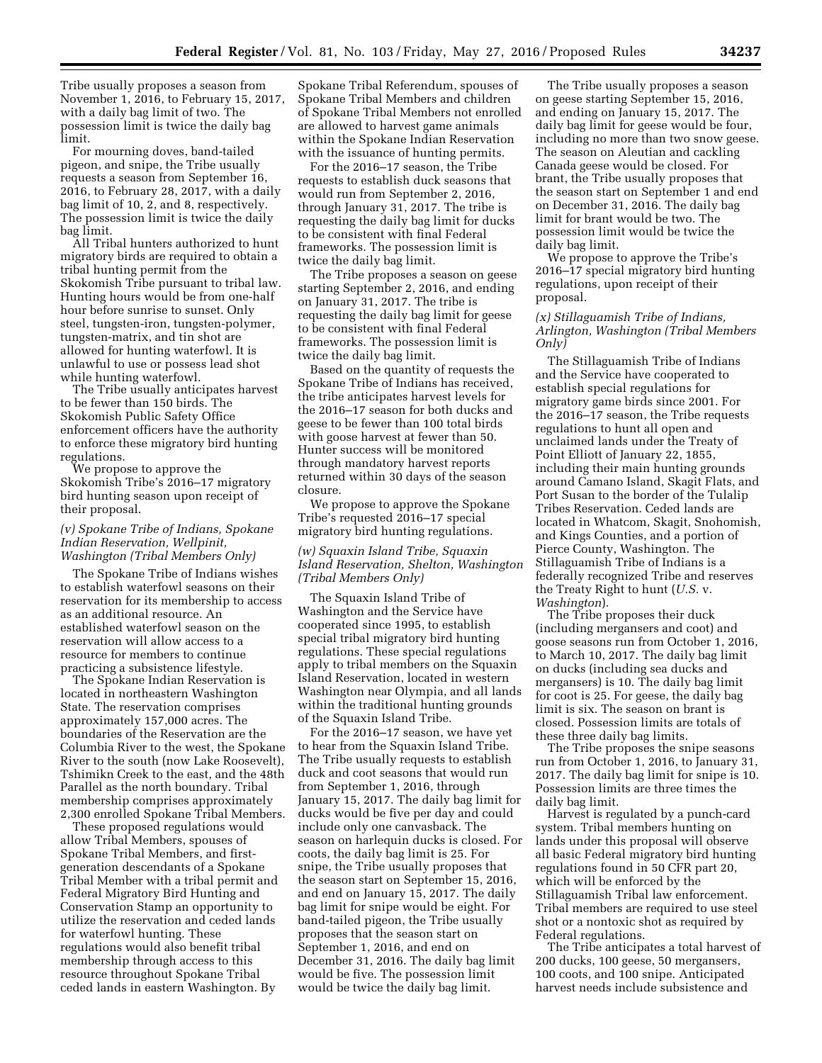Tribe usually proposes a season from November 1, 2016, to February 15, 2017, with a daily bag limit of two. The possession limit is twice the daily bag limit.

For mourning doves, band-tailed pigeon, and snipe, the Tribe usually requests a season from September 16, 2016, to February 28, 2017, with a daily bag limit of 10, 2, and 8, respectively. The possession limit is twice the daily bag limit.

All Tribal hunters authorized to hunt migratory birds are required to obtain a tribal hunting permit from the Skokomish Tribe pursuant to tribal law. Hunting hours would be from one-half hour before sunrise to sunset. Only steel, tungsten-iron, tungsten-polymer, tungsten-matrix, and tin shot are allowed for hunting waterfowl. It is unlawful to use or possess lead shot while hunting waterfowl.

The Tribe usually anticipates harvest to be fewer than 150 birds. The Skokomish Public Safety Office enforcement officers have the authority to enforce these migratory bird hunting regulations.

We propose to approve the Skokomish Tribe's 2016–17 migratory bird hunting season upon receipt of their proposal.

#### *(v) Spokane Tribe of Indians, Spokane Indian Reservation, Wellpinit, Washington (Tribal Members Only)*

The Spokane Tribe of Indians wishes to establish waterfowl seasons on their reservation for its membership to access as an additional resource. An established waterfowl season on the reservation will allow access to a resource for members to continue practicing a subsistence lifestyle.

The Spokane Indian Reservation is located in northeastern Washington State. The reservation comprises approximately 157,000 acres. The boundaries of the Reservation are the Columbia River to the west, the Spokane River to the south (now Lake Roosevelt), Tshimikn Creek to the east, and the 48th Parallel as the north boundary. Tribal membership comprises approximately 2,300 enrolled Spokane Tribal Members.

These proposed regulations would allow Tribal Members, spouses of Spokane Tribal Members, and firstgeneration descendants of a Spokane Tribal Member with a tribal permit and Federal Migratory Bird Hunting and Conservation Stamp an opportunity to utilize the reservation and ceded lands for waterfowl hunting. These regulations would also benefit tribal membership through access to this resource throughout Spokane Tribal ceded lands in eastern Washington. By

Spokane Tribal Referendum, spouses of Spokane Tribal Members and children of Spokane Tribal Members not enrolled are allowed to harvest game animals within the Spokane Indian Reservation with the issuance of hunting permits.

For the 2016–17 season, the Tribe requests to establish duck seasons that would run from September 2, 2016, through January 31, 2017. The tribe is requesting the daily bag limit for ducks to be consistent with final Federal frameworks. The possession limit is twice the daily bag limit.

The Tribe proposes a season on geese starting September 2, 2016, and ending on January 31, 2017. The tribe is requesting the daily bag limit for geese to be consistent with final Federal frameworks. The possession limit is twice the daily bag limit.

Based on the quantity of requests the Spokane Tribe of Indians has received, the tribe anticipates harvest levels for the 2016–17 season for both ducks and geese to be fewer than 100 total birds with goose harvest at fewer than 50. Hunter success will be monitored through mandatory harvest reports returned within 30 days of the season closure.

We propose to approve the Spokane Tribe's requested 2016–17 special migratory bird hunting regulations.

*(w) Squaxin Island Tribe, Squaxin Island Reservation, Shelton, Washington (Tribal Members Only)* 

The Squaxin Island Tribe of Washington and the Service have cooperated since 1995, to establish special tribal migratory bird hunting regulations. These special regulations apply to tribal members on the Squaxin Island Reservation, located in western Washington near Olympia, and all lands within the traditional hunting grounds of the Squaxin Island Tribe.

For the 2016–17 season, we have yet to hear from the Squaxin Island Tribe. The Tribe usually requests to establish duck and coot seasons that would run from September 1, 2016, through January 15, 2017. The daily bag limit for ducks would be five per day and could include only one canvasback. The season on harlequin ducks is closed. For coots, the daily bag limit is 25. For snipe, the Tribe usually proposes that the season start on September 15, 2016, and end on January 15, 2017. The daily bag limit for snipe would be eight. For band-tailed pigeon, the Tribe usually proposes that the season start on September 1, 2016, and end on December 31, 2016. The daily bag limit would be five. The possession limit would be twice the daily bag limit.

The Tribe usually proposes a season on geese starting September 15, 2016, and ending on January 15, 2017. The daily bag limit for geese would be four, including no more than two snow geese. The season on Aleutian and cackling Canada geese would be closed. For brant, the Tribe usually proposes that the season start on September 1 and end on December 31, 2016. The daily bag limit for brant would be two. The possession limit would be twice the daily bag limit.

We propose to approve the Tribe's 2016–17 special migratory bird hunting regulations, upon receipt of their proposal.

## *(x) Stillaguamish Tribe of Indians, Arlington, Washington (Tribal Members Only)*

The Stillaguamish Tribe of Indians and the Service have cooperated to establish special regulations for migratory game birds since 2001. For the 2016–17 season, the Tribe requests regulations to hunt all open and unclaimed lands under the Treaty of Point Elliott of January 22, 1855, including their main hunting grounds around Camano Island, Skagit Flats, and Port Susan to the border of the Tulalip Tribes Reservation. Ceded lands are located in Whatcom, Skagit, Snohomish, and Kings Counties, and a portion of Pierce County, Washington. The Stillaguamish Tribe of Indians is a federally recognized Tribe and reserves the Treaty Right to hunt (*U.S.* v. *Washington*).

The Tribe proposes their duck (including mergansers and coot) and goose seasons run from October 1, 2016, to March 10, 2017. The daily bag limit on ducks (including sea ducks and mergansers) is 10. The daily bag limit for coot is 25. For geese, the daily bag limit is six. The season on brant is closed. Possession limits are totals of these three daily bag limits.

The Tribe proposes the snipe seasons run from October 1, 2016, to January 31, 2017. The daily bag limit for snipe is 10. Possession limits are three times the daily bag limit.

Harvest is regulated by a punch-card system. Tribal members hunting on lands under this proposal will observe all basic Federal migratory bird hunting regulations found in 50 CFR part 20, which will be enforced by the Stillaguamish Tribal law enforcement. Tribal members are required to use steel shot or a nontoxic shot as required by Federal regulations.

The Tribe anticipates a total harvest of 200 ducks, 100 geese, 50 mergansers, 100 coots, and 100 snipe. Anticipated harvest needs include subsistence and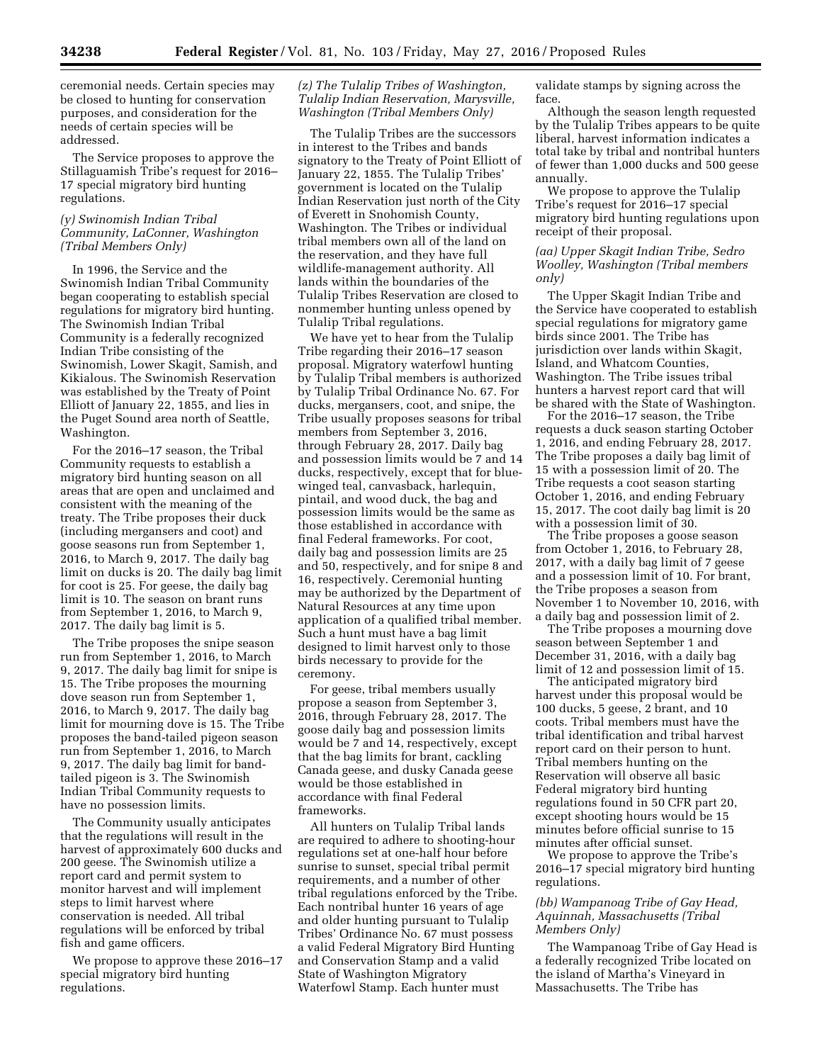ceremonial needs. Certain species may be closed to hunting for conservation purposes, and consideration for the needs of certain species will be addressed.

The Service proposes to approve the Stillaguamish Tribe's request for 2016– 17 special migratory bird hunting regulations.

# *(y) Swinomish Indian Tribal Community, LaConner, Washington (Tribal Members Only)*

In 1996, the Service and the Swinomish Indian Tribal Community began cooperating to establish special regulations for migratory bird hunting. The Swinomish Indian Tribal Community is a federally recognized Indian Tribe consisting of the Swinomish, Lower Skagit, Samish, and Kikialous. The Swinomish Reservation was established by the Treaty of Point Elliott of January 22, 1855, and lies in the Puget Sound area north of Seattle, Washington.

For the 2016–17 season, the Tribal Community requests to establish a migratory bird hunting season on all areas that are open and unclaimed and consistent with the meaning of the treaty. The Tribe proposes their duck (including mergansers and coot) and goose seasons run from September 1, 2016, to March 9, 2017. The daily bag limit on ducks is 20. The daily bag limit for coot is 25. For geese, the daily bag limit is 10. The season on brant runs from September 1, 2016, to March 9, 2017. The daily bag limit is 5.

The Tribe proposes the snipe season run from September 1, 2016, to March 9, 2017. The daily bag limit for snipe is 15. The Tribe proposes the mourning dove season run from September 1, 2016, to March 9, 2017. The daily bag limit for mourning dove is 15. The Tribe proposes the band-tailed pigeon season run from September 1, 2016, to March 9, 2017. The daily bag limit for bandtailed pigeon is 3. The Swinomish Indian Tribal Community requests to have no possession limits.

The Community usually anticipates that the regulations will result in the harvest of approximately 600 ducks and 200 geese. The Swinomish utilize a report card and permit system to monitor harvest and will implement steps to limit harvest where conservation is needed. All tribal regulations will be enforced by tribal fish and game officers.

We propose to approve these 2016–17 special migratory bird hunting regulations.

# *(z) The Tulalip Tribes of Washington, Tulalip Indian Reservation, Marysville, Washington (Tribal Members Only)*

The Tulalip Tribes are the successors in interest to the Tribes and bands signatory to the Treaty of Point Elliott of January 22, 1855. The Tulalip Tribes' government is located on the Tulalip Indian Reservation just north of the City of Everett in Snohomish County, Washington. The Tribes or individual tribal members own all of the land on the reservation, and they have full wildlife-management authority. All lands within the boundaries of the Tulalip Tribes Reservation are closed to nonmember hunting unless opened by Tulalip Tribal regulations.

We have yet to hear from the Tulalip Tribe regarding their 2016–17 season proposal. Migratory waterfowl hunting by Tulalip Tribal members is authorized by Tulalip Tribal Ordinance No. 67. For ducks, mergansers, coot, and snipe, the Tribe usually proposes seasons for tribal members from September 3, 2016, through February 28, 2017. Daily bag and possession limits would be 7 and 14 ducks, respectively, except that for bluewinged teal, canvasback, harlequin, pintail, and wood duck, the bag and possession limits would be the same as those established in accordance with final Federal frameworks. For coot, daily bag and possession limits are 25 and 50, respectively, and for snipe 8 and 16, respectively. Ceremonial hunting may be authorized by the Department of Natural Resources at any time upon application of a qualified tribal member. Such a hunt must have a bag limit designed to limit harvest only to those birds necessary to provide for the ceremony.

For geese, tribal members usually propose a season from September 3, 2016, through February 28, 2017. The goose daily bag and possession limits would be 7 and 14, respectively, except that the bag limits for brant, cackling Canada geese, and dusky Canada geese would be those established in accordance with final Federal frameworks.

All hunters on Tulalip Tribal lands are required to adhere to shooting-hour regulations set at one-half hour before sunrise to sunset, special tribal permit requirements, and a number of other tribal regulations enforced by the Tribe. Each nontribal hunter 16 years of age and older hunting pursuant to Tulalip Tribes' Ordinance No. 67 must possess a valid Federal Migratory Bird Hunting and Conservation Stamp and a valid State of Washington Migratory Waterfowl Stamp. Each hunter must

validate stamps by signing across the face.

Although the season length requested by the Tulalip Tribes appears to be quite liberal, harvest information indicates a total take by tribal and nontribal hunters of fewer than 1,000 ducks and 500 geese annually.

We propose to approve the Tulalip Tribe's request for 2016–17 special migratory bird hunting regulations upon receipt of their proposal.

# *(aa) Upper Skagit Indian Tribe, Sedro Woolley, Washington (Tribal members only)*

The Upper Skagit Indian Tribe and the Service have cooperated to establish special regulations for migratory game birds since 2001. The Tribe has jurisdiction over lands within Skagit, Island, and Whatcom Counties, Washington. The Tribe issues tribal hunters a harvest report card that will be shared with the State of Washington.

For the 2016–17 season, the Tribe requests a duck season starting October 1, 2016, and ending February 28, 2017. The Tribe proposes a daily bag limit of 15 with a possession limit of 20. The Tribe requests a coot season starting October 1, 2016, and ending February 15, 2017. The coot daily bag limit is 20 with a possession limit of 30.

The Tribe proposes a goose season from October 1, 2016, to February 28, 2017, with a daily bag limit of 7 geese and a possession limit of 10. For brant, the Tribe proposes a season from November 1 to November 10, 2016, with a daily bag and possession limit of 2.

The Tribe proposes a mourning dove season between September 1 and December 31, 2016, with a daily bag limit of 12 and possession limit of 15.

The anticipated migratory bird harvest under this proposal would be 100 ducks, 5 geese, 2 brant, and 10 coots. Tribal members must have the tribal identification and tribal harvest report card on their person to hunt. Tribal members hunting on the Reservation will observe all basic Federal migratory bird hunting regulations found in 50 CFR part 20, except shooting hours would be 15 minutes before official sunrise to 15 minutes after official sunset.

We propose to approve the Tribe's 2016–17 special migratory bird hunting regulations.

# *(bb) Wampanoag Tribe of Gay Head, Aquinnah, Massachusetts (Tribal Members Only)*

The Wampanoag Tribe of Gay Head is a federally recognized Tribe located on the island of Martha's Vineyard in Massachusetts. The Tribe has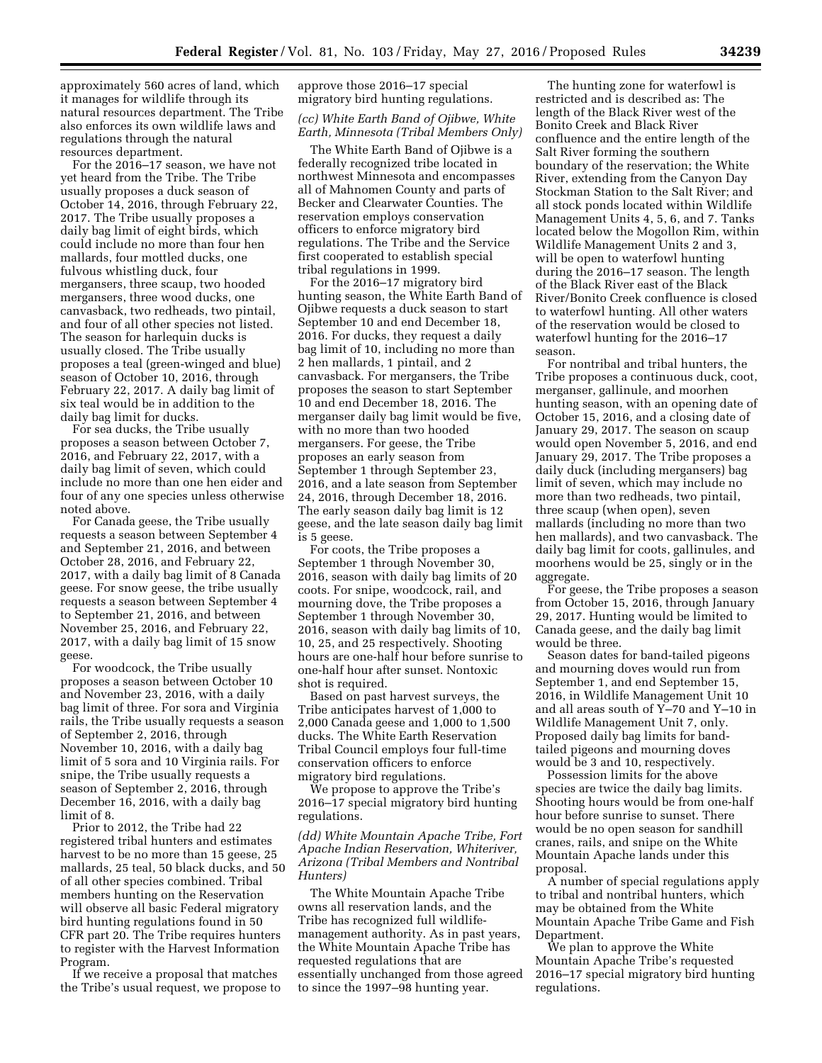approximately 560 acres of land, which it manages for wildlife through its natural resources department. The Tribe also enforces its own wildlife laws and regulations through the natural resources department.

For the 2016–17 season, we have not yet heard from the Tribe. The Tribe usually proposes a duck season of October 14, 2016, through February 22, 2017. The Tribe usually proposes a daily bag limit of eight birds, which could include no more than four hen mallards, four mottled ducks, one fulvous whistling duck, four mergansers, three scaup, two hooded mergansers, three wood ducks, one canvasback, two redheads, two pintail, and four of all other species not listed. The season for harlequin ducks is usually closed. The Tribe usually proposes a teal (green-winged and blue) season of October 10, 2016, through February 22, 2017. A daily bag limit of six teal would be in addition to the daily bag limit for ducks.

For sea ducks, the Tribe usually proposes a season between October 7, 2016, and February 22, 2017, with a daily bag limit of seven, which could include no more than one hen eider and four of any one species unless otherwise noted above.

For Canada geese, the Tribe usually requests a season between September 4 and September 21, 2016, and between October 28, 2016, and February 22, 2017, with a daily bag limit of 8 Canada geese. For snow geese, the tribe usually requests a season between September 4 to September 21, 2016, and between November 25, 2016, and February 22, 2017, with a daily bag limit of 15 snow geese.

For woodcock, the Tribe usually proposes a season between October 10 and November 23, 2016, with a daily bag limit of three. For sora and Virginia rails, the Tribe usually requests a season of September 2, 2016, through November 10, 2016, with a daily bag limit of 5 sora and 10 Virginia rails. For snipe, the Tribe usually requests a season of September 2, 2016, through December 16, 2016, with a daily bag limit of 8.

Prior to 2012, the Tribe had 22 registered tribal hunters and estimates harvest to be no more than 15 geese, 25 mallards, 25 teal, 50 black ducks, and 50 of all other species combined. Tribal members hunting on the Reservation will observe all basic Federal migratory bird hunting regulations found in 50 CFR part 20. The Tribe requires hunters to register with the Harvest Information Program.

If we receive a proposal that matches the Tribe's usual request, we propose to approve those 2016–17 special migratory bird hunting regulations.

# *(cc) White Earth Band of Ojibwe, White Earth, Minnesota (Tribal Members Only)*

The White Earth Band of Ojibwe is a federally recognized tribe located in northwest Minnesota and encompasses all of Mahnomen County and parts of Becker and Clearwater Counties. The reservation employs conservation officers to enforce migratory bird regulations. The Tribe and the Service first cooperated to establish special tribal regulations in 1999.

For the 2016–17 migratory bird hunting season, the White Earth Band of Ojibwe requests a duck season to start September 10 and end December 18, 2016. For ducks, they request a daily bag limit of 10, including no more than 2 hen mallards, 1 pintail, and 2 canvasback. For mergansers, the Tribe proposes the season to start September 10 and end December 18, 2016. The merganser daily bag limit would be five, with no more than two hooded mergansers. For geese, the Tribe proposes an early season from September 1 through September 23, 2016, and a late season from September 24, 2016, through December 18, 2016. The early season daily bag limit is 12 geese, and the late season daily bag limit is 5 geese.

For coots, the Tribe proposes a September 1 through November 30, 2016, season with daily bag limits of 20 coots. For snipe, woodcock, rail, and mourning dove, the Tribe proposes a September 1 through November 30, 2016, season with daily bag limits of 10, 10, 25, and 25 respectively. Shooting hours are one-half hour before sunrise to one-half hour after sunset. Nontoxic shot is required.

Based on past harvest surveys, the Tribe anticipates harvest of 1,000 to 2,000 Canada geese and 1,000 to 1,500 ducks. The White Earth Reservation Tribal Council employs four full-time conservation officers to enforce migratory bird regulations.

We propose to approve the Tribe's 2016–17 special migratory bird hunting regulations.

# *(dd) White Mountain Apache Tribe, Fort Apache Indian Reservation, Whiteriver, Arizona (Tribal Members and Nontribal Hunters)*

The White Mountain Apache Tribe owns all reservation lands, and the Tribe has recognized full wildlifemanagement authority. As in past years, the White Mountain Apache Tribe has requested regulations that are essentially unchanged from those agreed to since the 1997–98 hunting year.

The hunting zone for waterfowl is restricted and is described as: The length of the Black River west of the Bonito Creek and Black River confluence and the entire length of the Salt River forming the southern boundary of the reservation; the White River, extending from the Canyon Day Stockman Station to the Salt River; and all stock ponds located within Wildlife Management Units 4, 5, 6, and 7. Tanks located below the Mogollon Rim, within Wildlife Management Units 2 and 3, will be open to waterfowl hunting during the 2016–17 season. The length of the Black River east of the Black River/Bonito Creek confluence is closed to waterfowl hunting. All other waters of the reservation would be closed to waterfowl hunting for the 2016–17 season.

For nontribal and tribal hunters, the Tribe proposes a continuous duck, coot, merganser, gallinule, and moorhen hunting season, with an opening date of October 15, 2016, and a closing date of January 29, 2017. The season on scaup would open November 5, 2016, and end January 29, 2017. The Tribe proposes a daily duck (including mergansers) bag limit of seven, which may include no more than two redheads, two pintail, three scaup (when open), seven mallards (including no more than two hen mallards), and two canvasback. The daily bag limit for coots, gallinules, and moorhens would be 25, singly or in the aggregate.

For geese, the Tribe proposes a season from October 15, 2016, through January 29, 2017. Hunting would be limited to Canada geese, and the daily bag limit would be three.

Season dates for band-tailed pigeons and mourning doves would run from September 1, and end September 15, 2016, in Wildlife Management Unit 10 and all areas south of Y–70 and Y–10 in Wildlife Management Unit 7, only. Proposed daily bag limits for bandtailed pigeons and mourning doves would be 3 and 10, respectively.

Possession limits for the above species are twice the daily bag limits. Shooting hours would be from one-half hour before sunrise to sunset. There would be no open season for sandhill cranes, rails, and snipe on the White Mountain Apache lands under this proposal.

A number of special regulations apply to tribal and nontribal hunters, which may be obtained from the White Mountain Apache Tribe Game and Fish Department.

We plan to approve the White Mountain Apache Tribe's requested 2016–17 special migratory bird hunting regulations.